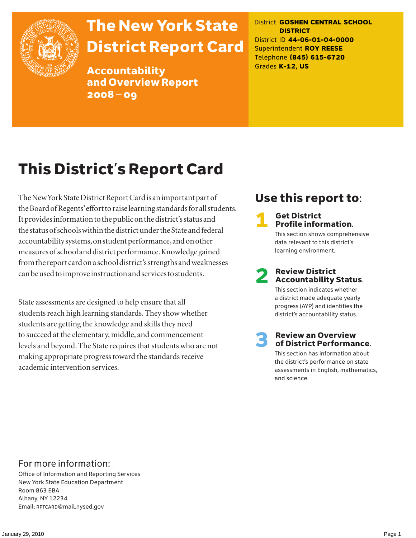

# The New York State District Report Card

Accountability and Overview Report 2008–09

District **GOSHEN CENTRAL SCHOOL DISTRICT** District ID **44-06-01-04-0000** Superintendent **ROY REESE** Telephone **(845) 615-6720** Grades **K-12, US**

# This District's Report Card

The New York State District Report Card is an important part of the Board of Regents' effort to raise learning standards for all students. It provides information to the public on the district's status and the status of schools within the district under the State and federal accountability systems, on student performance, and on other measures of school and district performance. Knowledge gained from the report card on a school district's strengths and weaknesses can be used to improve instruction and services to students.

State assessments are designed to help ensure that all students reach high learning standards. They show whether students are getting the knowledge and skills they need to succeed at the elementary, middle, and commencement levels and beyond. The State requires that students who are not making appropriate progress toward the standards receive academic intervention services.

## Use this report to:

### **Get District** Profile information.

This section shows comprehensive data relevant to this district's learning environment.

# **2** Review District<br>Accountability Status.

This section indicates whether a district made adequate yearly progress (AYP) and identifies the district's accountability status.

# **3** Review an Overview<br>
of District Performance.

This section has information about the district's performance on state assessments in English, mathematics, and science.

### For more information:

Office of Information and Reporting Services New York State Education Department Room 863 EBA Albany, NY 12234 Email: RPTCARD@mail.nysed.gov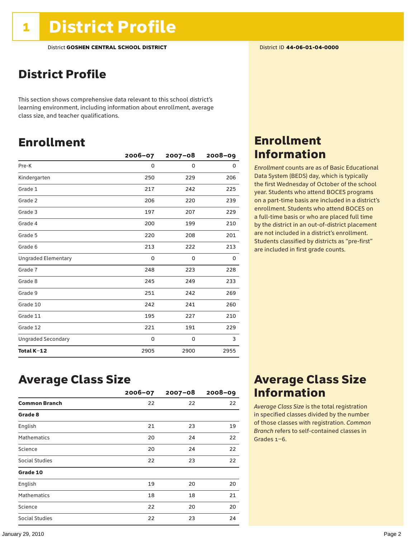## District Profile

This section shows comprehensive data relevant to this school district's learning environment, including information about enrollment, average class size, and teacher qualifications.

## Enrollment

|                            | $2006 - 07$ | $2007 - 08$ | $2008 - 09$ |
|----------------------------|-------------|-------------|-------------|
| Pre-K                      | 0           | 0           | 0           |
| Kindergarten               | 250         | 229         | 206         |
| Grade 1                    | 217         | 242         | 225         |
| Grade 2                    | 206         | 220         | 239         |
| Grade 3                    | 197         | 207         | 229         |
| Grade 4                    | 200         | 199         | 210         |
| Grade 5                    | 220         | 208         | 201         |
| Grade 6                    | 213         | 222         | 213         |
| <b>Ungraded Elementary</b> | 0           | 0           | 0           |
| Grade 7                    | 248         | 223         | 228         |
| Grade 8                    | 245         | 249         | 233         |
| Grade 9                    | 251         | 242         | 269         |
| Grade 10                   | 242         | 241         | 260         |
| Grade 11                   | 195         | 227         | 210         |
| Grade 12                   | 221         | 191         | 229         |
| <b>Ungraded Secondary</b>  | 0           | 0           | 3           |
| Total K-12                 | 2905        | 2900        | 2955        |

### Enrollment Information

*Enrollment* counts are as of Basic Educational Data System (BEDS) day, which is typically the first Wednesday of October of the school year. Students who attend BOCES programs on a part-time basis are included in a district's enrollment. Students who attend BOCES on a full-time basis or who are placed full time by the district in an out-of-district placement are not included in a district's enrollment. Students classified by districts as "pre-first" are included in first grade counts.

### Average Class Size

|                      | $2006 - 07$ | $2007 - 08$ | $2008 - 09$ |
|----------------------|-------------|-------------|-------------|
| <b>Common Branch</b> | 22          | 22          | 22          |
| Grade 8              |             |             |             |
| English              | 21          | 23          | 19          |
| <b>Mathematics</b>   | 20          | 24          | 22          |
| Science              | 20          | 24          | 22          |
| Social Studies       | 22          | 23          | 22          |
| Grade 10             |             |             |             |
| English              | 19          | 20          | 20          |
| <b>Mathematics</b>   | 18          | 18          | 21          |
| Science              | 22          | 20          | 20          |
| Social Studies       | 22          | 23          | 24          |

### Average Class Size Information

*Average Class Size* is the total registration in specified classes divided by the number of those classes with registration. *Common Branch* refers to self-contained classes in Grades 1–6.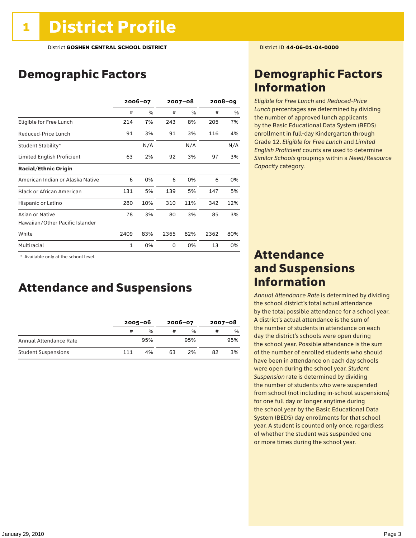## Demographic Factors

|                                  | 2006-07 |     | $2007 - 08$ |     | 2008-09 |     |
|----------------------------------|---------|-----|-------------|-----|---------|-----|
|                                  | #       | %   | #           | %   | #       | %   |
| Eligible for Free Lunch          | 214     | 7%  | 243         | 8%  | 205     | 7%  |
| Reduced-Price Lunch              | 91      | 3%  | 91          | 3%  | 116     | 4%  |
| Student Stability*               |         | N/A |             | N/A |         | N/A |
| Limited English Proficient       | 63      | 2%  | 92          | 3%  | 97      | 3%  |
| <b>Racial/Ethnic Origin</b>      |         |     |             |     |         |     |
| American Indian or Alaska Native | 6       | 0%  | 6           | 0%  | 6       | 0%  |
| <b>Black or African American</b> | 131     | 5%  | 139         | 5%  | 147     | 5%  |
| Hispanic or Latino               | 280     | 10% | 310         | 11% | 342     | 12% |
| Asian or Native                  | 78      | 3%  | 80          | 3%  | 85      | 3%  |
| Hawaiian/Other Pacific Islander  |         |     |             |     |         |     |
| White                            | 2409    | 83% | 2365        | 82% | 2362    | 80% |
| Multiracial                      | 1       | 0%  | 0           | 0%  | 13      | 0%  |

\* Available only at the school level.

### Attendance and Suspensions

|                            |     | $2005 - 06$   |    | $2006 - 07$   | $2007 - 08$ |     |
|----------------------------|-----|---------------|----|---------------|-------------|-----|
|                            | #   | $\frac{0}{6}$ |    | $\frac{1}{2}$ | #           | %   |
| Annual Attendance Rate     |     | 95%           |    | 95%           |             | 95% |
| <b>Student Suspensions</b> | 111 | 4%            | 63 | 2%            | 82          | 3%  |

### Demographic Factors Information

*Eligible for Free Lunch* and *Reduced*-*Price Lunch* percentages are determined by dividing the number of approved lunch applicants by the Basic Educational Data System (BEDS) enrollment in full-day Kindergarten through Grade 12. *Eligible for Free Lunch* and *Limited English Proficient* counts are used to determine *Similar Schools* groupings within a *Need*/*Resource Capacity* category.

### Attendance and Suspensions Information

*Annual Attendance Rate* is determined by dividing the school district's total actual attendance by the total possible attendance for a school year. A district's actual attendance is the sum of the number of students in attendance on each day the district's schools were open during the school year. Possible attendance is the sum of the number of enrolled students who should have been in attendance on each day schools were open during the school year. *Student Suspension* rate is determined by dividing the number of students who were suspended from school (not including in-school suspensions) for one full day or longer anytime during the school year by the Basic Educational Data System (BEDS) day enrollments for that school year. A student is counted only once, regardless of whether the student was suspended one or more times during the school year.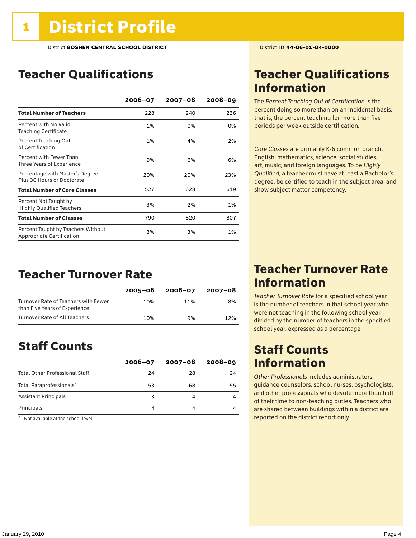## Teacher Qualifications

|                                                                 | $2006 - 07$ | $2007 - 08$ | $2008 - 09$ |
|-----------------------------------------------------------------|-------------|-------------|-------------|
| <b>Total Number of Teachers</b>                                 | 228         | 240         | 236         |
| Percent with No Valid<br><b>Teaching Certificate</b>            | 1%          | 0%          | 0%          |
| Percent Teaching Out<br>of Certification                        | 1%          | 4%          | 2%          |
| Percent with Fewer Than<br>Three Years of Experience            | 9%          | 6%          | 6%          |
| Percentage with Master's Degree<br>Plus 30 Hours or Doctorate   | 20%         | 20%         | 23%         |
| <b>Total Number of Core Classes</b>                             | 527         | 628         | 619         |
| Percent Not Taught by<br><b>Highly Qualified Teachers</b>       | 3%          | 2%          | 1%          |
| <b>Total Number of Classes</b>                                  | 790         | 820         | 807         |
| Percent Taught by Teachers Without<br>Appropriate Certification | 3%          | 3%          | 1%          |

### Teacher Turnover Rate

|                                                                       | 2005–06 | 2006-07 | 2007-08 |
|-----------------------------------------------------------------------|---------|---------|---------|
| Turnover Rate of Teachers with Fewer<br>than Five Years of Experience | 10%     | 11%     | 8%      |
| Turnover Rate of All Teachers                                         | 10%     | 9%      | 12%     |

### Staff Counts

|                                       | $2006 - 07$ | $2007 - 08$ | $2008 - 09$ |
|---------------------------------------|-------------|-------------|-------------|
| <b>Total Other Professional Staff</b> | 24          | 28          | 24          |
| Total Paraprofessionals*              | 53          | 68          | 55          |
| <b>Assistant Principals</b>           |             |             |             |
| Principals                            |             |             |             |

 $*$  Not available at the school level.

## Teacher Qualifications Information

The *Percent Teaching Out of Certification* is the percent doing so more than on an incidental basis; that is, the percent teaching for more than five periods per week outside certification.

*Core Classes* are primarily K-6 common branch, English, mathematics, science, social studies, art, music, and foreign languages. To be *Highly Qualified*, a teacher must have at least a Bachelor's degree, be certified to teach in the subject area, and show subject matter competency.

### Teacher Turnover Rate Information

*Teacher Turnover Rate* for a specified school year is the number of teachers in that school year who were not teaching in the following school year divided by the number of teachers in the specified school year, expressed as a percentage.

## Staff Counts Information

*Other Professionals* includes administrators, guidance counselors, school nurses, psychologists, and other professionals who devote more than half of their time to non-teaching duties. Teachers who are shared between buildings within a district are reported on the district report only.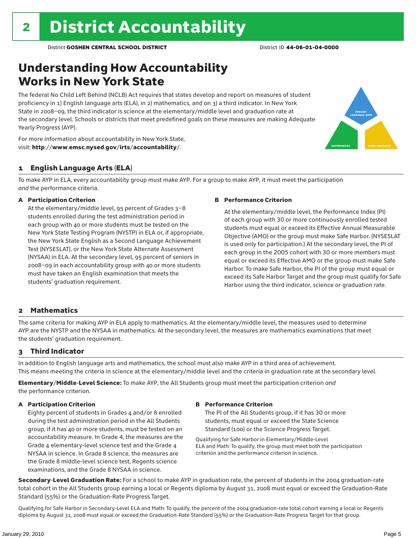## Understanding How Accountability Works in New York State

The federal No Child Left Behind (NCLB) Act requires that states develop and report on measures of student proficiency in 1) English language arts (ELA), in 2) mathematics, and on 3) a third indicator. In New York State in 2008–09, the third indicator is science at the elementary/middle level and graduation rate at the secondary level. Schools or districts that meet predefined goals on these measures are making Adequate Yearly Progress (AYP).



For more information about accountability in New York State, visit: http://www.emsc.nysed.gov/irts/accountability/.

### 1 English Language Arts (ELA)

To make AYP in ELA, every accountability group must make AYP. For a group to make AYP, it must meet the participation *and* the performance criteria.

#### A Participation Criterion

At the elementary/middle level, 95 percent of Grades 3–8 students enrolled during the test administration period in each group with 40 or more students must be tested on the New York State Testing Program (NYSTP) in ELA or, if appropriate, the New York State English as a Second Language Achievement Test (NYSESLAT), or the New York State Alternate Assessment (NYSAA) in ELA. At the secondary level, 95 percent of seniors in 2008–09 in each accountability group with 40 or more students must have taken an English examination that meets the students' graduation requirement.

#### B Performance Criterion

At the elementary/middle level, the Performance Index (PI) of each group with 30 or more continuously enrolled tested students must equal or exceed its Effective Annual Measurable Objective (AMO) or the group must make Safe Harbor. (NYSESLAT is used only for participation.) At the secondary level, the PI of each group in the 2005 cohort with 30 or more members must equal or exceed its Effective AMO or the group must make Safe Harbor. To make Safe Harbor, the PI of the group must equal or exceed its Safe Harbor Target and the group must qualify for Safe Harbor using the third indicator, science or graduation rate.

### 2 Mathematics

The same criteria for making AYP in ELA apply to mathematics. At the elementary/middle level, the measures used to determine AYP are the NYSTP and the NYSAA in mathematics. At the secondary level, the measures are mathematics examinations that meet the students' graduation requirement.

### 3 Third Indicator

In addition to English language arts and mathematics, the school must also make AYP in a third area of achievement. This means meeting the criteria in science at the elementary/middle level and the criteria in graduation rate at the secondary level.

Elementary/Middle-Level Science: To make AYP, the All Students group must meet the participation criterion *and* the performance criterion.

### A Participation Criterion

Eighty percent of students in Grades 4 and/or 8 enrolled during the test administration period in the All Students group, if it has 40 or more students, must be tested on an accountability measure. In Grade 4, the measures are the Grade 4 elementary-level science test and the Grade 4 NYSAA in science. In Grade 8 science, the measures are the Grade 8 middle-level science test, Regents science examinations, and the Grade 8 NYSAA in science.

#### B Performance Criterion

The PI of the All Students group, if it has 30 or more students, must equal or exceed the State Science Standard (100) or the Science Progress Target.

Qualifying for Safe Harbor in Elementary/Middle-Level ELA and Math: To qualify, the group must meet both the participation criterion and the performance criterion in science.

Secondary-Level Graduation Rate: For a school to make AYP in graduation rate, the percent of students in the 2004 graduation-rate total cohort in the All Students group earning a local or Regents diploma by August 31, 2008 must equal or exceed the Graduation-Rate Standard (55%) or the Graduation-Rate Progress Target.

Qualifying for Safe Harbor in Secondary-Level ELA and Math: To qualify, the percent of the 2004 graduation-rate total cohort earning a local or Regents diploma by August 31, 2008 must equal or exceed the Graduation-Rate Standard (55%) or the Graduation-Rate Progress Target for that group.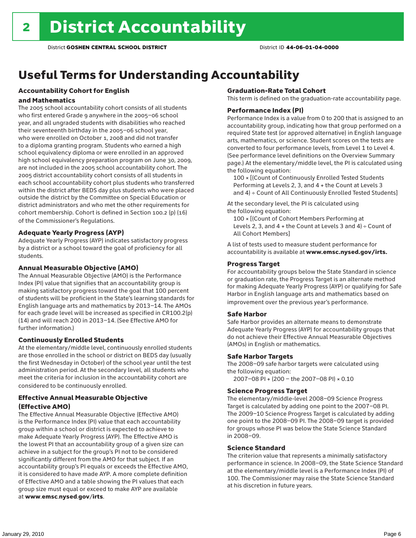## Useful Terms for Understanding Accountability

### Accountability Cohort for English

### and Mathematics

The 2005 school accountability cohort consists of all students who first entered Grade 9 anywhere in the 2005–06 school year, and all ungraded students with disabilities who reached their seventeenth birthday in the 2005–06 school year, who were enrolled on October 1, 2008 and did not transfer to a diploma granting program. Students who earned a high school equivalency diploma or were enrolled in an approved high school equivalency preparation program on June 30, 2009, are not included in the 2005 school accountability cohort. The 2005 district accountability cohort consists of all students in each school accountability cohort plus students who transferred within the district after BEDS day plus students who were placed outside the district by the Committee on Special Education or district administrators and who met the other requirements for cohort membership. Cohort is defined in Section 100.2 (p) (16) of the Commissioner's Regulations.

### Adequate Yearly Progress (AYP)

Adequate Yearly Progress (AYP) indicates satisfactory progress by a district or a school toward the goal of proficiency for all students.

#### Annual Measurable Objective (AMO)

The Annual Measurable Objective (AMO) is the Performance Index (PI) value that signifies that an accountability group is making satisfactory progress toward the goal that 100 percent of students will be proficient in the State's learning standards for English language arts and mathematics by 2013–14. The AMOs for each grade level will be increased as specified in CR100.2(p) (14) and will reach 200 in 2013–14. (See Effective AMO for further information.)

### Continuously Enrolled Students

At the elementary/middle level, continuously enrolled students are those enrolled in the school or district on BEDS day (usually the first Wednesday in October) of the school year until the test administration period. At the secondary level, all students who meet the criteria for inclusion in the accountability cohort are considered to be continuously enrolled.

### Effective Annual Measurable Objective (Effective AMO)

The Effective Annual Measurable Objective (Effective AMO) is the Performance Index (PI) value that each accountability group within a school or district is expected to achieve to make Adequate Yearly Progress (AYP). The Effective AMO is the lowest PI that an accountability group of a given size can achieve in a subject for the group's PI not to be considered significantly different from the AMO for that subject. If an accountability group's PI equals or exceeds the Effective AMO, it is considered to have made AYP. A more complete definition of Effective AMO and a table showing the PI values that each group size must equal or exceed to make AYP are available at www.emsc.nysed.gov/irts.

### Graduation-Rate Total Cohort

This term is defined on the graduation-rate accountability page.

#### Performance Index (PI)

Performance Index is a value from 0 to 200 that is assigned to an accountability group, indicating how that group performed on a required State test (or approved alternative) in English language arts, mathematics, or science. Student scores on the tests are converted to four performance levels, from Level 1 to Level 4. (See performance level definitions on the Overview Summary page.) At the elementary/middle level, the PI is calculated using the following equation:

100 × [(Count of Continuously Enrolled Tested Students Performing at Levels 2, 3, and 4 + the Count at Levels 3 and 4) ÷ Count of All Continuously Enrolled Tested Students]

At the secondary level, the PI is calculated using the following equation:

100 × [(Count of Cohort Members Performing at Levels 2, 3, and  $4 +$  the Count at Levels 3 and  $4) \div$  Count of All Cohort Members]

A list of tests used to measure student performance for accountability is available at www.emsc.nysed.gov/irts.

### Progress Target

For accountability groups below the State Standard in science or graduation rate, the Progress Target is an alternate method for making Adequate Yearly Progress (AYP) or qualifying for Safe Harbor in English language arts and mathematics based on improvement over the previous year's performance.

### Safe Harbor

Safe Harbor provides an alternate means to demonstrate Adequate Yearly Progress (AYP) for accountability groups that do not achieve their Effective Annual Measurable Objectives (AMOs) in English or mathematics.

### Safe Harbor Targets

The 2008–09 safe harbor targets were calculated using the following equation:

2007–08 PI + (200 – the 2007–08 PI) × 0.10

#### Science Progress Target

The elementary/middle-level 2008–09 Science Progress Target is calculated by adding one point to the 2007–08 PI. The 2009–10 Science Progress Target is calculated by adding one point to the 2008–09 PI. The 2008–09 target is provided for groups whose PI was below the State Science Standard in 2008–09.

#### Science Standard

The criterion value that represents a minimally satisfactory performance in science. In 2008–09, the State Science Standard at the elementary/middle level is a Performance Index (PI) of 100. The Commissioner may raise the State Science Standard at his discretion in future years.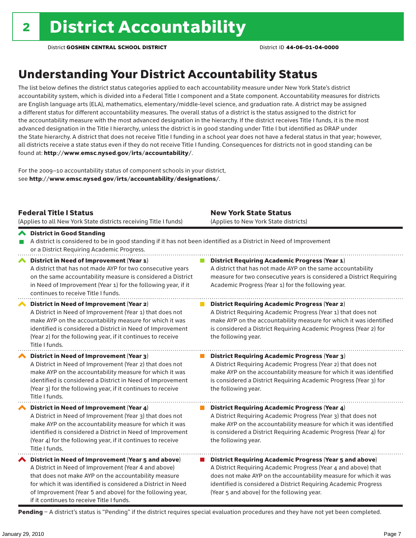## Understanding Your District Accountability Status

The list below defines the district status categories applied to each accountability measure under New York State's district accountability system, which is divided into a Federal Title I component and a State component. Accountability measures for districts are English language arts (ELA), mathematics, elementary/middle-level science, and graduation rate. A district may be assigned a different status for different accountability measures. The overall status of a district is the status assigned to the district for the accountability measure with the most advanced designation in the hierarchy. If the district receives Title I funds, it is the most advanced designation in the Title I hierarchy, unless the district is in good standing under Title I but identified as DRAP under the State hierarchy. A district that does not receive Title I funding in a school year does not have a federal status in that year; however, all districts receive a state status even if they do not receive Title I funding. Consequences for districts not in good standing can be found at: http://www.emsc.nysed.gov/irts/accountability/.

For the 2009–10 accountability status of component schools in your district, see http://www.emsc.nysed.gov/irts/accountability/designations/.

|                       | <b>Federal Title I Status</b><br>(Applies to all New York State districts receiving Title I funds)                                                                                                                                                                                                                                             | <b>New York State Status</b><br>(Applies to New York State districts)                                                                                                                                                                                                                                                 |
|-----------------------|------------------------------------------------------------------------------------------------------------------------------------------------------------------------------------------------------------------------------------------------------------------------------------------------------------------------------------------------|-----------------------------------------------------------------------------------------------------------------------------------------------------------------------------------------------------------------------------------------------------------------------------------------------------------------------|
|                       | ← District in Good Standing<br>A district is considered to be in good standing if it has not been identified as a District in Need of Improvement<br>or a District Requiring Academic Progress.                                                                                                                                                |                                                                                                                                                                                                                                                                                                                       |
| $\blacktriangleright$ | District in Need of Improvement (Year 1)<br>A district that has not made AYP for two consecutive years<br>on the same accountability measure is considered a District<br>in Need of Improvement (Year 1) for the following year, if it<br>continues to receive Title I funds.                                                                  | <b>District Requiring Academic Progress (Year 1)</b><br>A district that has not made AYP on the same accountability<br>measure for two consecutive years is considered a District Requiring<br>Academic Progress (Year 1) for the following year.                                                                     |
|                       | District in Need of Improvement (Year 2)<br>A District in Need of Improvement (Year 1) that does not<br>make AYP on the accountability measure for which it was<br>identified is considered a District in Need of Improvement<br>(Year 2) for the following year, if it continues to receive<br>Title I funds.                                 | <b>District Requiring Academic Progress (Year 2)</b><br>A District Requiring Academic Progress (Year 1) that does not<br>make AYP on the accountability measure for which it was identified<br>is considered a District Requiring Academic Progress (Year 2) for<br>the following year.                               |
|                       | District in Need of Improvement (Year 3)<br>A District in Need of Improvement (Year 2) that does not<br>make AYP on the accountability measure for which it was<br>identified is considered a District in Need of Improvement<br>(Year 3) for the following year, if it continues to receive<br>Title I funds.                                 | <b>District Requiring Academic Progress (Year 3)</b><br>A District Requiring Academic Progress (Year 2) that does not<br>make AYP on the accountability measure for which it was identified<br>is considered a District Requiring Academic Progress (Year 3) for<br>the following year.                               |
|                       | District in Need of Improvement (Year 4)<br>A District in Need of Improvement (Year 3) that does not<br>make AYP on the accountability measure for which it was<br>identified is considered a District in Need of Improvement<br>(Year 4) for the following year, if it continues to receive<br>Title I funds.                                 | <b>District Requiring Academic Progress (Year 4)</b><br>A District Requiring Academic Progress (Year 3) that does not<br>make AYP on the accountability measure for which it was identified<br>is considered a District Requiring Academic Progress (Year 4) for<br>the following year.                               |
|                       | ◆ District in Need of Improvement (Year 5 and above)<br>A District in Need of Improvement (Year 4 and above)<br>that does not make AYP on the accountability measure<br>for which it was identified is considered a District in Need<br>of Improvement (Year 5 and above) for the following year,<br>if it continues to receive Title I funds. | <b>District Requiring Academic Progress (Year 5 and above)</b><br>A District Requiring Academic Progress (Year 4 and above) that<br>does not make AYP on the accountability measure for which it was<br>identified is considered a District Requiring Academic Progress<br>(Year 5 and above) for the following year. |

Pending - A district's status is "Pending" if the district requires special evaluation procedures and they have not yet been completed.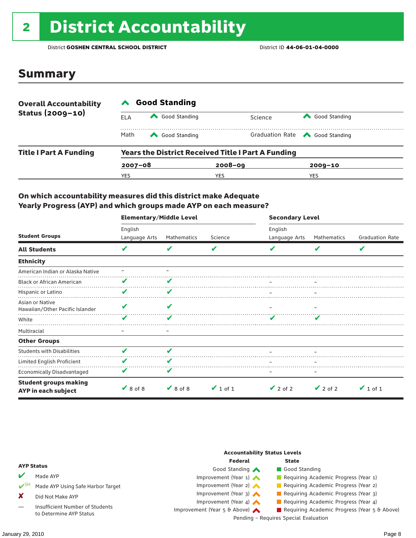# <sup>2</sup> District Accountability

District **GOSHEN CENTRAL SCHOOL DISTRICT** District ID **44-06-01-04-0000**

### Summary

| <b>Overall Accountability</b><br>Status (2009-10) | <b>Good Standing</b>                                      |               |             |                                       |  |  |  |
|---------------------------------------------------|-----------------------------------------------------------|---------------|-------------|---------------------------------------|--|--|--|
|                                                   | ELA                                                       | Good Standing | Science     | Good Standing                         |  |  |  |
|                                                   | Math                                                      | Good Standing |             | Graduation Rate <a> Good Standing</a> |  |  |  |
| <b>Title I Part A Funding</b>                     | <b>Years the District Received Title I Part A Funding</b> |               |             |                                       |  |  |  |
|                                                   | $2007 - 08$                                               |               | $2008 - 09$ | $2009 - 10$                           |  |  |  |
|                                                   | YES                                                       |               | YES         | YES                                   |  |  |  |

### On which accountability measures did this district make Adequate Yearly Progress (AYP) and which groups made AYP on each measure?

|                                                     | <b>Elementary/Middle Level</b> |               |               | <b>Secondary Level</b> |               |                        |  |
|-----------------------------------------------------|--------------------------------|---------------|---------------|------------------------|---------------|------------------------|--|
|                                                     | English                        |               |               | English                |               |                        |  |
| <b>Student Groups</b>                               | Language Arts                  | Mathematics   | Science       | Language Arts          | Mathematics   | <b>Graduation Rate</b> |  |
| <b>All Students</b>                                 | v                              | V             | V             |                        | V             | V                      |  |
| <b>Ethnicity</b>                                    |                                |               |               |                        |               |                        |  |
| American Indian or Alaska Native                    |                                |               |               |                        |               |                        |  |
| <b>Black or African American</b>                    |                                |               |               |                        |               |                        |  |
| Hispanic or Latino                                  | v                              | V             |               |                        |               |                        |  |
| Asian or Native<br>Hawaiian/Other Pacific Islander  |                                |               |               |                        |               |                        |  |
| White                                               |                                |               |               |                        |               |                        |  |
| Multiracial                                         |                                |               |               |                        |               |                        |  |
| <b>Other Groups</b>                                 |                                |               |               |                        |               |                        |  |
| <b>Students with Disabilities</b>                   |                                | ✔             |               |                        |               |                        |  |
| Limited English Proficient                          |                                | V             |               |                        |               |                        |  |
| Economically Disadvantaged                          |                                | V             |               |                        |               |                        |  |
| <b>Student groups making</b><br>AYP in each subject | $\vee$ 8 of 8                  | $\vee$ 8 of 8 | $\vee$ 1 of 1 | $\vee$ 2 of 2          | $\vee$ 2 of 2 | $\vee$ 1 of 1          |  |

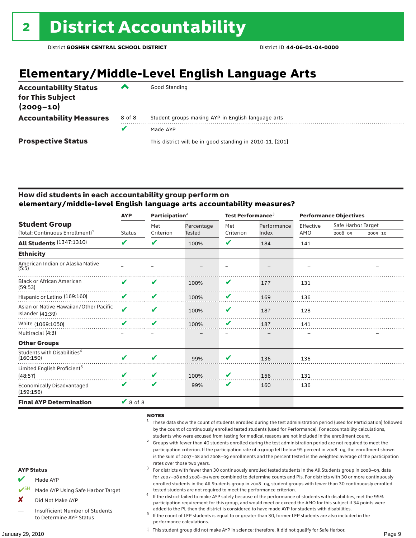## **Elementary/Middle-Level English Language Arts**

| <b>Accountability Status</b><br>for This Subject<br>$(2009 - 10)$ | ▰      | Good Standing                                            |
|-------------------------------------------------------------------|--------|----------------------------------------------------------|
| <b>Accountability Measures</b>                                    | 8 of 8 | Student groups making AYP in English language arts       |
|                                                                   |        | Made AYP                                                 |
| <b>Prospective Status</b>                                         |        | This district will be in good standing in 2010-11. [201] |

### How did students in each accountability group perform on **elementary/middle-level English language arts accountability measures?**

|                                                                     | <b>AYP</b>    | Participation <sup>2</sup> |                      | Test Performance <sup>3</sup> |                      | <b>Performance Objectives</b> |                               |             |
|---------------------------------------------------------------------|---------------|----------------------------|----------------------|-------------------------------|----------------------|-------------------------------|-------------------------------|-------------|
| <b>Student Group</b><br>(Total: Continuous Enrollment) <sup>1</sup> | <b>Status</b> | Met<br>Criterion           | Percentage<br>Tested | Met<br>Criterion              | Performance<br>Index | Effective<br>AMO              | Safe Harbor Target<br>2008-09 | $2009 - 10$ |
| <b>All Students (1347:1310)</b>                                     | V             | V                          | 100%                 | V                             | 184                  | 141                           |                               |             |
| <b>Ethnicity</b>                                                    |               |                            |                      |                               |                      |                               |                               |             |
| American Indian or Alaska Native<br>(5:5)                           |               |                            |                      |                               |                      |                               |                               |             |
| <b>Black or African American</b><br>(59:53)                         | V             | V                          | 100%                 | V                             | 177                  | 131                           |                               |             |
| Hispanic or Latino (169:160)                                        | V             | V                          | 100%                 | V                             | 169                  | 136                           |                               |             |
| Asian or Native Hawaiian/Other Pacific<br>Islander $(41:39)$        | $\mathbf{v}$  | V                          | 100%                 | V                             | 187                  | 128                           |                               |             |
| White (1069:1050)                                                   |               | V                          | 100%                 | v                             | 187                  | 141                           |                               |             |
| Multiracial (4:3)                                                   |               |                            |                      |                               |                      |                               |                               |             |
| <b>Other Groups</b>                                                 |               |                            |                      |                               |                      |                               |                               |             |
| Students with Disabilities <sup>4</sup><br>(160:150)                | ✔             | ✔                          | 99%                  | v                             | 136                  | 136                           |                               |             |
| Limited English Proficient <sup>5</sup><br>(48:57)                  |               | V                          | 100%                 | V                             | 156                  | 131                           |                               |             |
| <b>Economically Disadvantaged</b><br>(159:156)                      | V             | V                          | 99%                  | V                             | 160                  | 136                           |                               |             |
| <b>Final AYP Determination</b>                                      | $\vee$ 8 of 8 |                            |                      |                               |                      |                               |                               |             |

### NOTES

- <sup>1</sup> These data show the count of students enrolled during the test administration period (used for Participation) followed by the count of continuously enrolled tested students (used for Performance). For accountability calculations,
- students who were excused from testing for medical reasons are not included in the enrollment count.<br><sup>2</sup> Groups with fewer than 40 students enrolled during the test administration period are not required to meet the participation criterion. If the participation rate of a group fell below 95 percent in 2008–09, the enrollment shown is the sum of 2007–08 and 2008–09 enrollments and the percent tested is the weighted average of the participation

### rates over those two years.<br><sup>3</sup> For districts with fewer than 30 continuously enrolled tested students in the All Students group in 2008–09, data for 2007–08 and 2008–09 were combined to determine counts and PIs. For districts with 30 or more continuously enrolled students in the All Students group in 2008–09, student groups with fewer than 30 continuously enrolled

- tested students are not required to meet the performance criterion. <sup>4</sup> If the district failed to make AYP solely because of the performance of students with disabilities, met the 95% participation requirement for this group, and would meet or exceed the AMO for this subject if 34 points were
- added to the PI, then the district is considered to have made AYP for students with disabilities.<br><sup>5</sup> If the count of LEP students is equal to or greater than 30, former LEP students are also included in the performance calculations.

‡ This student group did not make AYP in science; therefore, it did not qualify for Safe Harbor.

#### AYP Status

- Made AYP
- Made AYP Using Safe Harbor Target
- X Did Not Make AYP
- Insufficient Number of Students to Determine AYP Status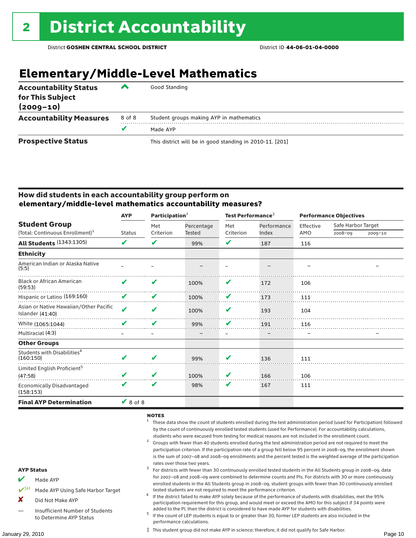## **Elementary/Middle-Level Mathematics**

| <b>Accountability Status</b><br>for This Subject<br>$(2009 - 10)$ | ▰      | Good Standing                                            |
|-------------------------------------------------------------------|--------|----------------------------------------------------------|
| <b>Accountability Measures</b>                                    | 8 of 8 | Student groups making AYP in mathematics                 |
|                                                                   | v      | Made AYP                                                 |
| <b>Prospective Status</b>                                         |        | This district will be in good standing in 2010-11. [201] |

### How did students in each accountability group perform on **elementary/middle-level mathematics accountability measures?**

|                                                                     | <b>AYP</b>    | Participation $2$ |                      | Test Performance <sup>3</sup> |             | <b>Performance Objectives</b> |                    |             |
|---------------------------------------------------------------------|---------------|-------------------|----------------------|-------------------------------|-------------|-------------------------------|--------------------|-------------|
| <b>Student Group</b><br>(Total: Continuous Enrollment) <sup>1</sup> |               | Met<br>Criterion  | Percentage<br>Tested | Met<br>Criterion              | Performance | Effective<br>AMO              | Safe Harbor Target |             |
|                                                                     | <b>Status</b> |                   |                      |                               | Index       |                               | 2008-09            | $2009 - 10$ |
| <b>All Students (1343:1305)</b>                                     | V             | V                 | 99%                  | V                             | 187         | 116                           |                    |             |
| <b>Ethnicity</b>                                                    |               |                   |                      |                               |             |                               |                    |             |
| American Indian or Alaska Native<br>(5:5)                           |               |                   |                      |                               |             |                               |                    |             |
| <b>Black or African American</b><br>(59:53)                         | V             | V                 | 100%                 | V                             | 172         | 106                           |                    |             |
| Hispanic or Latino (169:160)                                        | V             | V                 | 100%                 | V                             | 173         | 111                           |                    |             |
| Asian or Native Hawaiian/Other Pacific<br>Islander $(41:40)$        | $\mathbf{v}$  | V                 | 100%                 | V                             | 193         | 104                           |                    |             |
| White (1065:1044)                                                   |               | ✔                 | 99%                  | V                             | 191         | 116                           |                    |             |
| Multiracial (4:3)                                                   |               |                   |                      |                               |             |                               |                    |             |
| <b>Other Groups</b>                                                 |               |                   |                      |                               |             |                               |                    |             |
| Students with Disabilities <sup>4</sup><br>(160:150)                | ✔             | V                 | 99%                  | V                             | 136         | 111                           |                    |             |
| Limited English Proficient <sup>5</sup><br>(47:58)                  |               | V                 | 100%                 | V                             | 166         | 106                           |                    |             |
| Economically Disadvantaged<br>(158:153)                             | V             | V                 | 98%                  | V                             | 167         | 111                           |                    |             |
| <b>Final AYP Determination</b>                                      | $\vee$ 8 of 8 |                   |                      |                               |             |                               |                    |             |

### NOTES

- <sup>1</sup> These data show the count of students enrolled during the test administration period (used for Participation) followed by the count of continuously enrolled tested students (used for Performance). For accountability calculations,
- students who were excused from testing for medical reasons are not included in the enrollment count.<br><sup>2</sup> Groups with fewer than 40 students enrolled during the test administration period are not required to meet the participation criterion. If the participation rate of a group fell below 95 percent in 2008–09, the enrollment shown is the sum of 2007–08 and 2008–09 enrollments and the percent tested is the weighted average of the participation

### rates over those two years.<br><sup>3</sup> For districts with fewer than 30 continuously enrolled tested students in the All Students group in 2008–09, data for 2007–08 and 2008–09 were combined to determine counts and PIs. For districts with 30 or more continuously enrolled students in the All Students group in 2008–09, student groups with fewer than 30 continuously enrolled

- tested students are not required to meet the performance criterion. <sup>4</sup> If the district failed to make AYP solely because of the performance of students with disabilities, met the 95% participation requirement for this group, and would meet or exceed the AMO for this subject if 34 points were
- added to the PI, then the district is considered to have made AYP for students with disabilities.<br> $5$  If the count of LEP students is equal to or greater than 30, former LEP students are also included in the performance calculations.

‡ This student group did not make AYP in science; therefore, it did not qualify for Safe Harbor.

#### AYP Status

- Made AYP
- Made AYP Using Safe Harbor Target
- X Did Not Make AYP
- Insufficient Number of Students to Determine AYP Status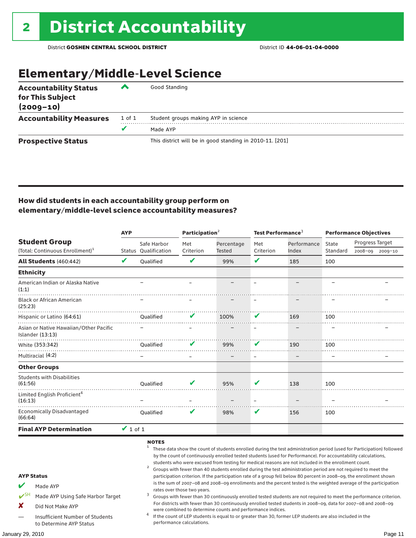### Elementary/Middle-Level Science

| <b>Accountability Status</b><br>for This Subject<br>$(2009 - 10)$ | ◚      | Good Standing                                            |
|-------------------------------------------------------------------|--------|----------------------------------------------------------|
| <b>Accountability Measures</b>                                    | 1 of 1 | Student groups making AYP in science                     |
|                                                                   | v      | Made AYP                                                 |
| <b>Prospective Status</b>                                         |        | This district will be in good standing in 2010-11. [201] |

### How did students in each accountability group perform on elementary/middle-level science accountability measures?

|                                                                     |                                                                                                      | <b>AYP</b>                          |                                     | Participation <sup>2</sup>  |                                                            | Test Performance <sup>3</sup> |                                                                                                                                                                                                                                                                                                                                                                                                                                                                                                                                                                                                                                                                                                                                                                                                                                                                                                                                                                                                                                                                        | <b>Performance Objectives</b>             |  |         |
|---------------------------------------------------------------------|------------------------------------------------------------------------------------------------------|-------------------------------------|-------------------------------------|-----------------------------|------------------------------------------------------------|-------------------------------|------------------------------------------------------------------------------------------------------------------------------------------------------------------------------------------------------------------------------------------------------------------------------------------------------------------------------------------------------------------------------------------------------------------------------------------------------------------------------------------------------------------------------------------------------------------------------------------------------------------------------------------------------------------------------------------------------------------------------------------------------------------------------------------------------------------------------------------------------------------------------------------------------------------------------------------------------------------------------------------------------------------------------------------------------------------------|-------------------------------------------|--|---------|
| <b>Student Group</b><br>(Total: Continuous Enrollment) <sup>1</sup> |                                                                                                      | Safe Harbor<br>Status Oualification | Met<br>Criterion                    | Percentage<br>Tested        | Met<br>Criterion                                           | Performance<br>Index          | State<br>Standard                                                                                                                                                                                                                                                                                                                                                                                                                                                                                                                                                                                                                                                                                                                                                                                                                                                                                                                                                                                                                                                      | <b>Progress Target</b><br>2008-09 2009-10 |  |         |
|                                                                     | All Students (460:442)                                                                               | V                                   | Qualified                           | V                           | 99%                                                        | V                             | 185                                                                                                                                                                                                                                                                                                                                                                                                                                                                                                                                                                                                                                                                                                                                                                                                                                                                                                                                                                                                                                                                    | 100                                       |  |         |
| <b>Ethnicity</b>                                                    |                                                                                                      |                                     |                                     |                             |                                                            |                               |                                                                                                                                                                                                                                                                                                                                                                                                                                                                                                                                                                                                                                                                                                                                                                                                                                                                                                                                                                                                                                                                        |                                           |  |         |
| (1:1)                                                               | American Indian or Alaska Native                                                                     |                                     |                                     |                             |                                                            | $\equiv$                      |                                                                                                                                                                                                                                                                                                                                                                                                                                                                                                                                                                                                                                                                                                                                                                                                                                                                                                                                                                                                                                                                        | L.                                        |  |         |
| (25:23)                                                             | <b>Black or African American</b>                                                                     |                                     |                                     |                             |                                                            |                               |                                                                                                                                                                                                                                                                                                                                                                                                                                                                                                                                                                                                                                                                                                                                                                                                                                                                                                                                                                                                                                                                        |                                           |  |         |
|                                                                     | Hispanic or Latino (64:61)                                                                           |                                     | Oualified                           |                             | 100%                                                       |                               | 169                                                                                                                                                                                                                                                                                                                                                                                                                                                                                                                                                                                                                                                                                                                                                                                                                                                                                                                                                                                                                                                                    | 100                                       |  |         |
|                                                                     | Asian or Native Hawaiian/Other Pacific<br>Islander $(13:13)$                                         |                                     |                                     |                             |                                                            |                               |                                                                                                                                                                                                                                                                                                                                                                                                                                                                                                                                                                                                                                                                                                                                                                                                                                                                                                                                                                                                                                                                        |                                           |  |         |
|                                                                     | White (353:342)                                                                                      |                                     | <b>Oualified</b>                    | V                           | 99%                                                        | V                             | 190                                                                                                                                                                                                                                                                                                                                                                                                                                                                                                                                                                                                                                                                                                                                                                                                                                                                                                                                                                                                                                                                    | 100                                       |  |         |
|                                                                     | Multiracial (4:2)                                                                                    |                                     |                                     |                             |                                                            |                               |                                                                                                                                                                                                                                                                                                                                                                                                                                                                                                                                                                                                                                                                                                                                                                                                                                                                                                                                                                                                                                                                        |                                           |  |         |
|                                                                     | <b>Other Groups</b>                                                                                  |                                     |                                     |                             |                                                            |                               |                                                                                                                                                                                                                                                                                                                                                                                                                                                                                                                                                                                                                                                                                                                                                                                                                                                                                                                                                                                                                                                                        |                                           |  |         |
| (61:56)                                                             | <b>Students with Disabilities</b>                                                                    |                                     | <b>Oualified</b>                    |                             | 95%                                                        | V                             | 138                                                                                                                                                                                                                                                                                                                                                                                                                                                                                                                                                                                                                                                                                                                                                                                                                                                                                                                                                                                                                                                                    | 100                                       |  |         |
| (16:13)                                                             | Limited English Proficient <sup>4</sup>                                                              |                                     |                                     |                             |                                                            |                               |                                                                                                                                                                                                                                                                                                                                                                                                                                                                                                                                                                                                                                                                                                                                                                                                                                                                                                                                                                                                                                                                        |                                           |  |         |
| (66:64)                                                             | <b>Economically Disadvantaged</b>                                                                    |                                     | <b>Oualified</b>                    | v                           | 98%                                                        | v                             | 156                                                                                                                                                                                                                                                                                                                                                                                                                                                                                                                                                                                                                                                                                                                                                                                                                                                                                                                                                                                                                                                                    | 100                                       |  |         |
|                                                                     | <b>Final AYP Determination</b>                                                                       | $\vee$ 1 of 1                       |                                     |                             |                                                            |                               |                                                                                                                                                                                                                                                                                                                                                                                                                                                                                                                                                                                                                                                                                                                                                                                                                                                                                                                                                                                                                                                                        |                                           |  |         |
| <b>AYP Status</b><br>$\mathbf{v}$ SH<br>x                           | Made AYP<br>Made AYP Using Safe Harbor Target<br>Did Not Make AYP<br>Insufficient Number of Students |                                     | <b>NOTES</b><br>$\overline{a}$<br>4 | rates over those two years. | were combined to determine counts and performance indices. |                               | These data show the count of students enrolled during the test administration period (used for Participation) followed<br>by the count of continuously enrolled tested students (used for Performance). For accountability calculations,<br>students who were excused from testing for medical reasons are not included in the enrollment count.<br>Groups with fewer than 40 students enrolled during the test administration period are not required to meet the<br>participation criterion. If the participation rate of a group fell below 80 percent in 2008-09, the enrollment shown<br>is the sum of 2007-08 and 2008-09 enrollments and the percent tested is the weighted average of the participation<br>Groups with fewer than 30 continuously enrolled tested students are not required to meet the performance criterion.<br>For districts with fewer than 30 continuously enrolled tested students in 2008-09, data for 2007-08 and 2008-09<br>If the count of LEP students is equal to or greater than 30, former LEP students are also included in the |                                           |  |         |
|                                                                     | to Determine AYP Status                                                                              |                                     |                                     | performance calculations.   |                                                            |                               |                                                                                                                                                                                                                                                                                                                                                                                                                                                                                                                                                                                                                                                                                                                                                                                                                                                                                                                                                                                                                                                                        |                                           |  |         |
| January 29, 2010                                                    |                                                                                                      |                                     |                                     |                             |                                                            |                               |                                                                                                                                                                                                                                                                                                                                                                                                                                                                                                                                                                                                                                                                                                                                                                                                                                                                                                                                                                                                                                                                        |                                           |  | Page 11 |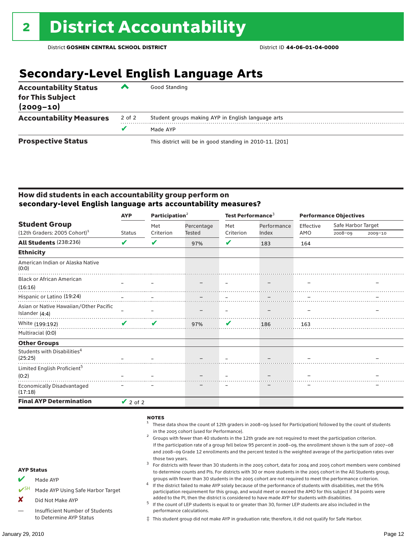## **Secondary-Level English Language Arts**

| <b>Accountability Status</b><br>for This Subject<br>$(2009 - 10)$ | ▰      | Good Standing                                            |
|-------------------------------------------------------------------|--------|----------------------------------------------------------|
| <b>Accountability Measures</b>                                    | 2 of 2 | Student groups making AYP in English language arts       |
|                                                                   |        | Made AYP                                                 |
| <b>Prospective Status</b>                                         |        | This district will be in good standing in 2010-11. [201] |

### How did students in each accountability group perform on **secondary-level English language arts accountability measures?**

|                                                    | <b>AYP</b>    | Participation <sup>2</sup> |            | Test Performance <sup>3</sup> |             | <b>Performance Objectives</b> |                    |             |
|----------------------------------------------------|---------------|----------------------------|------------|-------------------------------|-------------|-------------------------------|--------------------|-------------|
| <b>Student Group</b>                               |               | Met                        | Percentage | Met                           | Performance | Effective                     | Safe Harbor Target |             |
| $(12th$ Graders: 2005 Cohort) <sup>1</sup>         | <b>Status</b> | Criterion                  | Tested     | Criterion                     | Index       | AMO                           | 2008-09            | $2009 - 10$ |
| <b>All Students (238:236)</b>                      | V             | V                          | 97%        | ✔                             | 183         | 164                           |                    |             |
| <b>Ethnicity</b>                                   |               |                            |            |                               |             |                               |                    |             |
| American Indian or Alaska Native<br>(0:0)          |               |                            |            |                               |             |                               |                    |             |
| <b>Black or African American</b>                   | $\equiv$      |                            |            |                               |             |                               |                    |             |
| (16:16)                                            |               |                            |            |                               |             |                               |                    |             |
| Hispanic or Latino (19:24)                         |               |                            |            |                               |             |                               |                    |             |
| Asian or Native Hawaiian/Other Pacific             |               |                            |            |                               |             |                               |                    |             |
| Islander (4:4)                                     |               |                            |            |                               |             |                               |                    |             |
| White (199:192)                                    | V             | $\boldsymbol{\mathcal{L}}$ | 97%        | V                             | 186         | 163                           |                    |             |
| Multiracial (0:0)                                  |               |                            |            |                               |             |                               |                    |             |
| <b>Other Groups</b>                                |               |                            |            |                               |             |                               |                    |             |
| Students with Disabilities <sup>4</sup><br>(25:25) |               |                            |            |                               |             |                               |                    |             |
| Limited English Proficient <sup>5</sup>            |               |                            |            |                               |             |                               |                    |             |
| (0:2)                                              |               |                            |            |                               |             |                               |                    |             |
| <b>Economically Disadvantaged</b><br>(17:18)       |               |                            |            |                               |             |                               |                    |             |
| <b>Final AYP Determination</b>                     | $\vee$ 2 of 2 |                            |            |                               |             |                               |                    |             |

#### **NOTES**

- <sup>1</sup> These data show the count of 12th graders in 2008–09 (used for Participation) followed by the count of students
- in the 2005 cohort (used for Performance).<br>Groups with fewer than 40 students in the 12th grade are not required to meet the participation criterion. If the participation rate of a group fell below 95 percent in 2008–09, the enrollment shown is the sum of 2007–08 and 2008–09 Grade 12 enrollments and the percent tested is the weighted average of the participation rates over
- those two years.<br><sup>3</sup> For districts with fewer than 30 students in the 2005 cohort, data for 2004 and 2005 cohort members were combined to determine counts and PIs. For districts with 30 or more students in the 2005 cohort in the All Students group,
- groups with fewer than 30 students in the 2005 cohort are not required to meet the performance criterion.<br>If the district failed to make AYP solely because of the performance of students with disabilities, met the 95% participation requirement for this group, and would meet or exceed the AMO for this subject if 34 points were
- added to the PI, then the district is considered to have made AYP for students with disabilities.<br> $^5$  If the count of LEP students is equal to or greater than 30, former LEP students are also included in the performance calculations.
- ‡ This student group did not make AYP in graduation rate; therefore, it did not qualify for Safe Harbor.

AYP Status

Made AYP

X Did Not Make AYP

Made AYP Using Safe Harbor Target

— Insufficient Number of Students to Determine AYP Status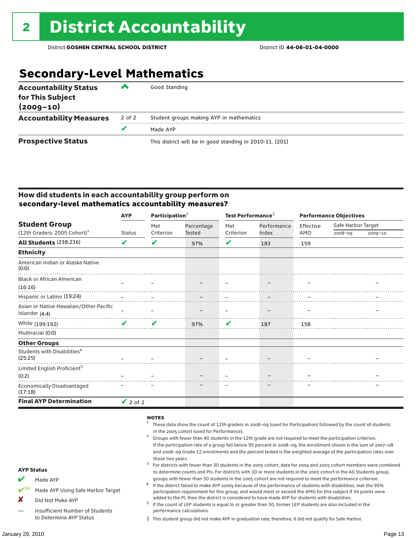## **Secondary-Level Mathematics**

| <b>Accountability Status</b><br>for This Subject<br>$(2009 - 10)$ | ‴      | Good Standing                                            |
|-------------------------------------------------------------------|--------|----------------------------------------------------------|
| <b>Accountability Measures</b>                                    | 2 of 2 | Student groups making AYP in mathematics                 |
|                                                                   |        | Made AYP                                                 |
| <b>Prospective Status</b>                                         |        | This district will be in good standing in 2010-11. [201] |

### How did students in each accountability group perform on **secondary-level mathematics accountability measures?**

|                                                    | <b>AYP</b>    | Participation <sup>2</sup> |            | Test Performance <sup>3</sup> |             | <b>Performance Objectives</b> |                    |             |
|----------------------------------------------------|---------------|----------------------------|------------|-------------------------------|-------------|-------------------------------|--------------------|-------------|
| <b>Student Group</b>                               |               | Met                        | Percentage | Met                           | Performance | Effective                     | Safe Harbor Target |             |
| $(12th$ Graders: 2005 Cohort) <sup>1</sup>         | <b>Status</b> | Criterion                  | Tested     | Criterion                     | Index       | AMO                           | 2008-09            | $2009 - 10$ |
| <b>All Students (238:236)</b>                      | V             | V                          | 97%        | V                             | 183         | 159                           |                    |             |
| <b>Ethnicity</b>                                   |               |                            |            |                               |             |                               |                    |             |
| American Indian or Alaska Native<br>(0:0)          |               |                            |            |                               |             |                               |                    |             |
| <b>Black or African American</b>                   | $\equiv$      |                            |            |                               |             |                               |                    |             |
| (16:16)                                            |               |                            |            |                               |             |                               |                    |             |
| Hispanic or Latino (19:24)                         |               |                            |            |                               |             |                               |                    |             |
| Asian or Native Hawaiian/Other Pacific             |               |                            |            |                               |             |                               |                    |             |
| Islander (4:4)                                     |               |                            |            |                               |             |                               |                    |             |
| White (199:192)                                    | ✔             | V                          | 97%        | $\mathbf v$                   | 187         | 158                           |                    |             |
| Multiracial (0:0)                                  |               |                            |            |                               |             |                               |                    |             |
| <b>Other Groups</b>                                |               |                            |            |                               |             |                               |                    |             |
| Students with Disabilities <sup>4</sup><br>(25:25) |               |                            |            |                               |             |                               |                    |             |
| Limited English Proficient <sup>5</sup>            |               |                            |            |                               |             |                               |                    |             |
| (0:2)                                              |               |                            |            |                               |             |                               |                    |             |
| <b>Economically Disadvantaged</b><br>(17:18)       |               |                            |            |                               |             |                               |                    |             |
| <b>Final AYP Determination</b>                     | $\vee$ 2 of 2 |                            |            |                               |             |                               |                    |             |

#### **NOTES**

- ✔SH Made AYP Using Safe Harbor Target X Did Not Make AYP <sup>1</sup> These data show the count of 12th graders in 2008–09 (used for Participation) followed by the count of students in the 2005 cohort (used for Performance).<br>Groups with fewer than 40 students in the 12th grade are not required to meet the participation criterion. If the participation rate of a group fell below 95 percent in 2008–09, the enrollment shown is the sum of 2007–08 and 2008–09 Grade 12 enrollments and the percent tested is the weighted average of the participation rates over those two years.<br><sup>3</sup> For districts with fewer than 30 students in the 2005 cohort, data for 2004 and 2005 cohort members were combined to determine counts and PIs. For districts with 30 or more students in the 2005 cohort in the All Students group, groups with fewer than 30 students in the 2005 cohort are not required to meet the performance criterion.<br>If the district failed to make AYP solely because of the performance of students with disabilities, met the 95% participation requirement for this group, and would meet or exceed the AMO for this subject if 34 points were
	- added to the PI, then the district is considered to have made AYP for students with disabilities.<br> $^5$  If the count of LEP students is equal to or greater than 30, former LEP students are also included in the performance calculations.
	- ‡ This student group did not make AYP in graduation rate; therefore, it did not qualify for Safe Harbor.

AYP Status  $M$  Made AYP

> — Insufficient Number of Students to Determine AYP Status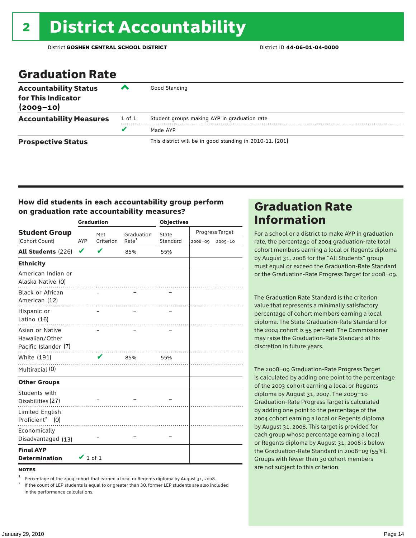### Graduation Rate

| <b>Accountability Status</b><br>for This Indicator<br>$(2009 - 10)$ | $\rightarrow$ | Good Standing                                            |
|---------------------------------------------------------------------|---------------|----------------------------------------------------------|
| <b>Accountability Measures</b>                                      | 1 of 1        | Student groups making AYP in graduation rate             |
|                                                                     | v             | Made AYP                                                 |
| <b>Prospective Status</b>                                           |               | This district will be in good standing in 2010-11. [201] |

### How did students in each accountability group perform on graduation rate accountability measures?

|                                                           |               | <b>Graduation</b> |                   | <b>Objectives</b> |         |                 |  |
|-----------------------------------------------------------|---------------|-------------------|-------------------|-------------------|---------|-----------------|--|
| <b>Student Group</b>                                      |               | Met               | Graduation        | State             |         | Progress Target |  |
| (Cohort Count)                                            | AYP           | Criterion         | Rate <sup>1</sup> | Standard          | 2008-09 | $2009 - 10$     |  |
| All Students (226)                                        | V             | ✔                 | 85%               | 55%               |         |                 |  |
| <b>Ethnicity</b>                                          |               |                   |                   |                   |         |                 |  |
| American Indian or<br>Alaska Native (0)                   |               | .                 | .                 |                   |         |                 |  |
| <b>Black or African</b><br>American (12)                  |               |                   |                   |                   |         |                 |  |
| Hispanic or<br>Latino (16)                                |               |                   |                   |                   |         |                 |  |
| Asian or Native<br>Hawaiian/Other<br>Pacific Islander (7) |               |                   | .                 |                   |         |                 |  |
| White (191)                                               |               | V                 | 85%               | 55%               |         |                 |  |
| Multiracial (0)                                           |               |                   | .                 |                   |         |                 |  |
| <b>Other Groups</b>                                       |               |                   |                   |                   |         |                 |  |
| Students with<br>Disabilities (27)                        |               | .                 |                   |                   |         |                 |  |
| Limited English<br>Proficient <sup>2</sup> (0)            |               |                   |                   |                   |         |                 |  |
| Economically<br>Disadvantaged (13)                        |               |                   |                   |                   |         |                 |  |
| <b>Final AYP</b><br><b>Determination</b>                  | $\vee$ 1 of 1 |                   |                   |                   |         |                 |  |

**NOTES** 

<sup>1</sup> Percentage of the 2004 cohort that earned a local or Regents diploma by August 31, 2008.<br><sup>2</sup> If the count of LEP students is equal to or greater than 30, former LEP students are also included in the performance calculations.

### Graduation Rate Information

For a school or a district to make AYP in graduation rate, the percentage of 2004 graduation-rate total cohort members earning a local or Regents diploma by August 31, 2008 for the "All Students" group must equal or exceed the Graduation-Rate Standard or the Graduation-Rate Progress Target for 2008–09.

The Graduation Rate Standard is the criterion value that represents a minimally satisfactory percentage of cohort members earning a local diploma. The State Graduation-Rate Standard for the 2004 cohort is 55 percent. The Commissioner may raise the Graduation-Rate Standard at his discretion in future years.

The 2008–09 Graduation-Rate Progress Target is calculated by adding one point to the percentage of the 2003 cohort earning a local or Regents diploma by August 31, 2007. The 2009–10 Graduation-Rate Progress Target is calculated by adding one point to the percentage of the 2004 cohort earning a local or Regents diploma by August 31, 2008. This target is provided for each group whose percentage earning a local or Regents diploma by August 31, 2008 is below the Graduation-Rate Standard in 2008–09 (55%). Groups with fewer than 30 cohort members are not subject to this criterion.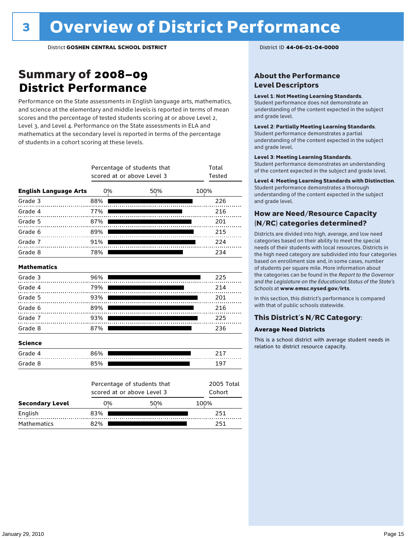### Summary of 2008–09 **District Performance**

Performance on the State assessments in English language arts, mathematics, and science at the elementary and middle levels is reported in terms of mean scores and the percentage of tested students scoring at or above Level 2, Level 3, and Level 4. Performance on the State assessments in ELA and mathematics at the secondary level is reported in terms of the percentage of students in a cohort scoring at these levels.

|                              |     | Percentage of students that<br>scored at or above Level 3 | Total<br>Tested             |                      |
|------------------------------|-----|-----------------------------------------------------------|-----------------------------|----------------------|
| <b>English Language Arts</b> |     | 0%                                                        | 50%                         | 100%                 |
| Grade 3                      | 88% |                                                           |                             | 226                  |
| Grade 4<br>.                 | 77% |                                                           |                             | 216                  |
| Grade 5                      | 87% |                                                           |                             | 201                  |
| Grade 6                      | 89% |                                                           |                             | 215                  |
| Grade 7                      | 91% |                                                           |                             | 224                  |
| Grade 8                      | 78% |                                                           |                             | 234                  |
| <b>Mathematics</b>           |     |                                                           |                             |                      |
| Grade 3                      | 96% |                                                           |                             | 225                  |
| Grade 4                      | 79% |                                                           |                             | 214                  |
| Grade 5                      | 93% |                                                           |                             | 201                  |
| Grade 6                      | 89% |                                                           |                             | 216                  |
| Grade 7                      | 93% |                                                           |                             | 225                  |
| Grade 8                      | 87% |                                                           |                             | 236                  |
| <b>Science</b>               |     |                                                           |                             |                      |
| Grade 4                      | 86% |                                                           |                             | 217                  |
| Grade 8                      | 85% |                                                           |                             | 197                  |
|                              |     | scored at or above Level 3                                | Percentage of students that | 2005 Total<br>Cohort |
| <b>Secondary Level</b>       |     | 0%                                                        | 50%                         | 100%                 |

English 83% 251 Mathematics 82% **251** 251

### About the Performance Level Descriptors

#### Level 1: Not Meeting Learning Standards.

Student performance does not demonstrate an understanding of the content expected in the subject and grade level.

#### Level 2: Partially Meeting Learning Standards.

Student performance demonstrates a partial understanding of the content expected in the subject and grade level.

#### Level 3: Meeting Learning Standards.

Student performance demonstrates an understanding of the content expected in the subject and grade level.

#### Level 4: Meeting Learning Standards with Distinction.

Student performance demonstrates a thorough understanding of the content expected in the subject and grade level.

### How are Need/Resource Capacity (N/RC) categories determined?

Districts are divided into high, average, and low need categories based on their ability to meet the special needs of their students with local resources. Districts in the high need category are subdivided into four categories based on enrollment size and, in some cases, number of students per square mile. More information about the categories can be found in the *Report to the Governor and the Legislature on the Educational Status of the State's Schools* at www.emsc.nysed.gov/irts.

In this section, this district's performance is compared with that of public schools statewide.

### This District's N/RC Category:

#### **Average Need Districts**

This is a school district with average student needs in relation to district resource capacity.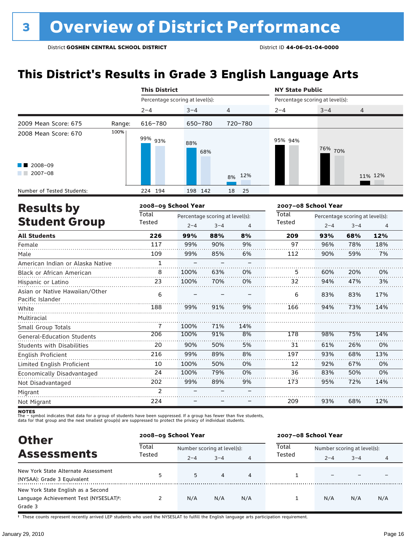## **This District's Results in Grade 3 English Language Arts**

|                            |        | <b>This District</b>            |                                 |         |          |                                 | <b>NY State Public</b> |                                 |         |  |  |
|----------------------------|--------|---------------------------------|---------------------------------|---------|----------|---------------------------------|------------------------|---------------------------------|---------|--|--|
|                            |        | Percentage scoring at level(s): |                                 |         |          | Percentage scoring at level(s): |                        |                                 |         |  |  |
|                            |        | $2 - 4$                         | $3 - 4$                         |         | 4        | $2 - 4$                         | $3 - 4$                | $\overline{4}$                  |         |  |  |
| 2009 Mean Score: 675       | Range: | 616-780                         | 650-780                         |         | 720-780  |                                 |                        |                                 |         |  |  |
| 2008 Mean Score: 670       | 100%   | 99% 93%                         | 88%                             | 68%     |          | 95% 94%                         | 76% 70%                |                                 |         |  |  |
| 2008-09<br>$2007 - 08$     |        |                                 |                                 |         | 8% 12%   |                                 |                        |                                 | 11% 12% |  |  |
| Number of Tested Students: |        | 224 194                         | 198 142                         |         | 18<br>25 |                                 |                        |                                 |         |  |  |
| <b>Results by</b>          |        | 2008-09 School Year             |                                 |         |          | 2007-08 School Year             |                        |                                 |         |  |  |
|                            |        | Total                           | Percentage scoring at level(s): |         |          | Total                           |                        | Percentage scoring at level(s): |         |  |  |
| <b>Student Group</b>       |        | Tested                          | $2 - 4$                         | $3 - 4$ | 4        | Tested                          | $2 - 4$                | $3 - 4$                         | 4       |  |  |
| <b>All Students</b>        |        | 226                             | 99%                             | 88%     | 8%       | 209                             | 93%                    | 68%                             | 12%     |  |  |
| Female                     |        | 117                             | 99%                             | 90%     | 9%       | 97                              | 96%                    | 78%                             | 18%     |  |  |
| Male                       |        | 109                             | 99%                             | 85%     | 6%       | 112                             | 90%                    | 59%                             | 7%      |  |  |
|                            |        |                                 |                                 |         |          |                                 |                        |                                 |         |  |  |

| American Indian or Alaska Native  |               |      |     |     |     |     |     |     |
|-----------------------------------|---------------|------|-----|-----|-----|-----|-----|-----|
| <b>Black or African American</b>  | 8             | 100% | 63% | 0%  | 5   | 60% | 20% | 0%  |
| Hispanic or Latino                | 23            | 100% | 70% | 0%  | 32  | 94% | 47% | 3%  |
| Asian or Native Hawaiian/Other    | 6             |      |     |     | 6   | 83% | 83% | 17% |
| Pacific Islander                  |               |      |     |     |     |     |     |     |
| White                             | 188           | 99%  | 91% | 9%  | 166 | 94% | 73% | 14% |
| Multiracial                       |               |      |     |     |     |     |     |     |
| Small Group Totals                | 7             | 100% | 71% | 14% |     |     |     |     |
| <b>General-Education Students</b> | 206           | 100% | 91% | 8%  | 178 | 98% | 75% | 14% |
| <b>Students with Disabilities</b> | 20            | 90%  | 50% | 5%  | 31  | 61% | 26% | 0%  |
| English Proficient                | 216           | 99%  | 89% | 8%  | 197 | 93% | 68% | 13% |
| Limited English Proficient        | 10            | 100% | 50% | 0%  | 12  | 92% | 67% | 0%  |
| Economically Disadvantaged        | 24            | 100% | 79% | 0%  | 36  | 83% | 50% | 0%  |
| Not Disadvantaged                 | 202           | 99%  | 89% | 9%  | 173 | 95% | 72% | 14% |
| Migrant                           | $\mathcal{P}$ |      |     |     |     |     |     |     |
| Not Migrant                       | 224           |      |     |     | 209 | 93% | 68% | 12% |

**NOTES**<br>The – symbol indicates that data for a group of students have been suppressed. If a group has fewer than five students,<br>data for that group and the next smallest group(s) are suppressed to protect the privacy of in

| <b>Other</b>                                                                                         |                 | 2008-09 School Year         |                           |        | 2007-08 School Year |                             |         |     |  |
|------------------------------------------------------------------------------------------------------|-----------------|-----------------------------|---------------------------|--------|---------------------|-----------------------------|---------|-----|--|
| <b>Assessments</b><br>New York State Alternate Assessment<br>(NYSAA): Grade 3 Equivalent             | Total<br>Tested | Number scoring at level(s): |                           |        | Total<br>Tested     | Number scoring at level(s): |         |     |  |
|                                                                                                      | 5               | $2 - 4$<br>5                | $3 - 4$<br>$\overline{4}$ | 4<br>4 |                     | $2 - 4$                     | $3 - 4$ | 4   |  |
| New York State English as a Second<br>Language Achievement Test (NYSESLAT) <sup>t</sup> :<br>Grade 3 |                 | N/A                         | N/A                       | N/A    |                     | N/A                         | N/A     | N/A |  |

† These counts represent recently arrived LEP students who used the NYSESLAT to fulfill the English language arts participation requirement.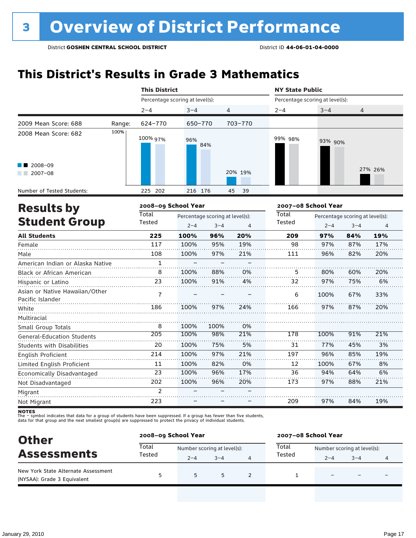## **This District's Results in Grade 3 Mathematics**

|                                                               |        |                                                                                                                                                                                       |                                 |               |         | <b>NY State Public</b>          |                                 |         |         |  |
|---------------------------------------------------------------|--------|---------------------------------------------------------------------------------------------------------------------------------------------------------------------------------------|---------------------------------|---------------|---------|---------------------------------|---------------------------------|---------|---------|--|
|                                                               |        | <b>This District</b><br>Percentage scoring at level(s):<br>$2 - 4$<br>$3 - 4$<br>4<br>624-770<br>650-770<br>100% 97%<br>96%<br>84%<br>225 202<br>216 176<br>45<br>2008-09 School Year |                                 |               |         | Percentage scoring at level(s): |                                 |         |         |  |
|                                                               |        |                                                                                                                                                                                       |                                 |               |         | $2 - 4$                         | $3 - 4$                         | 4       |         |  |
| 2009 Mean Score: 688                                          | Range: |                                                                                                                                                                                       |                                 |               | 703-770 |                                 |                                 |         |         |  |
| 2008 Mean Score: 682<br>$\blacksquare$ 2008-09<br>$2007 - 08$ | 100%   |                                                                                                                                                                                       |                                 |               | 20% 19% | 99% 98%                         | 93% 90%                         |         | 27% 26% |  |
| Number of Tested Students:                                    |        |                                                                                                                                                                                       |                                 |               | -39     |                                 |                                 |         |         |  |
| <b>Results by</b>                                             |        |                                                                                                                                                                                       |                                 |               |         |                                 | 2007-08 School Year             |         |         |  |
|                                                               |        | Total                                                                                                                                                                                 | Percentage scoring at level(s): |               |         | Total                           | Percentage scoring at level(s): |         |         |  |
| <b>Student Group</b>                                          |        | Tested                                                                                                                                                                                | $2 - 4$                         | $3 - 4$       | 4       | Tested                          | $2 - 4$                         | $3 - 4$ | 4       |  |
| <b>All Students</b>                                           |        | 225                                                                                                                                                                                   | 100%                            | 96%           | 20%     | 209                             | 97%                             | 84%     | 19%     |  |
|                                                               |        | 117                                                                                                                                                                                   | 10001                           | $\cap$ $\cap$ | 101     | $\sim$                          | 0.701                           | 0.701   | 1701    |  |

| Female                                             | 117            | 100% | 95%  | 19% | 98  | 97%  | 87% | 17% |
|----------------------------------------------------|----------------|------|------|-----|-----|------|-----|-----|
| Male                                               | 108            | 100% | 97%  | 21% | 111 | 96%  | 82% | 20% |
| American Indian or Alaska Native                   | 1              |      |      |     |     |      |     |     |
| <b>Black or African American</b>                   | 8              | 100% | 88%  | 0%  | 5   | 80%  | 60% | 20% |
| Hispanic or Latino                                 | 23             | 100% | 91%  | 4%  | 32  | 97%  | 75% | 6%  |
| Asian or Native Hawaiian/Other<br>Pacific Islander | 7              |      |      |     | 6   | 100% | 67% | 33% |
| White                                              | 186            | 100% | 97%  | 24% | 166 | 97%  | 87% | 20% |
| Multiracial                                        |                |      |      |     |     |      |     |     |
| Small Group Totals                                 | 8              | 100% | 100% | 0%  |     |      |     |     |
| <b>General-Education Students</b>                  | 205            | 100% | 98%  | 21% | 178 | 100% | 91% | 21% |
| <b>Students with Disabilities</b>                  | 20             | 100% | 75%  | 5%  | 31  | 77%  | 45% | 3%  |
| English Proficient                                 | 214            | 100% | 97%  | 21% | 197 | 96%  | 85% | 19% |
| Limited English Proficient                         | 11             | 100% | 82%  | 0%  | 12  | 100% | 67% | 8%  |
| Economically Disadvantaged                         | 23             | 100% | 96%  | 17% | 36  | 94%  | 64% | 6%  |
| Not Disadvantaged                                  | 202            | 100% | 96%  | 20% | 173 | 97%  | 88% | 21% |
| Migrant                                            | $\mathfrak{p}$ |      |      |     |     |      |     |     |
| Not Migrant                                        | 223            |      |      |     | 209 | 97%  | 84% | 19% |

**NOTES**<br>The – symbol indicates that data for a group of students have been suppressed. If a group has fewer than five students,<br>data for that group and the next smallest group(s) are suppressed to protect the privacy of in

| <b>Other</b>                                                       | 2008-09 School Year |                             |         |  | 2007-08 School Year |                             |         |  |  |
|--------------------------------------------------------------------|---------------------|-----------------------------|---------|--|---------------------|-----------------------------|---------|--|--|
| <b>Assessments</b>                                                 | Total               | Number scoring at level(s): |         |  | Total               | Number scoring at level(s): |         |  |  |
|                                                                    | Tested              | $2 - 4$                     | $3 - 4$ |  | Tested              | $2 - 4$                     | $3 - 4$ |  |  |
| New York State Alternate Assessment<br>(NYSAA): Grade 3 Equivalent | 5                   | 5                           | 5       |  |                     |                             |         |  |  |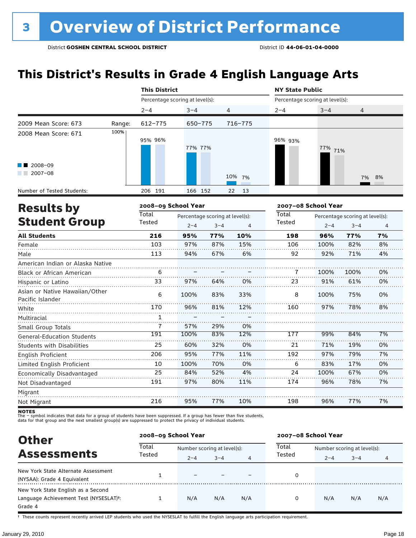## **This District's Results in Grade 4 English Language Arts**

|                                                    |        | <b>This District</b>            |                                 |         |          | <b>NY State Public</b>          |         |                                 |                |
|----------------------------------------------------|--------|---------------------------------|---------------------------------|---------|----------|---------------------------------|---------|---------------------------------|----------------|
|                                                    |        | Percentage scoring at level(s): |                                 |         |          | Percentage scoring at level(s): |         |                                 |                |
|                                                    |        | $2 - 4$                         | $3 - 4$                         | 4       |          | $2 - 4$                         | $3 - 4$ | 4                               |                |
| 2009 Mean Score: 673                               | Range: | 612-775                         | 650-775                         |         | 716-775  |                                 |         |                                 |                |
| 2008 Mean Score: 671                               | 100%   | 95% 96%                         | 77% 77%                         |         |          | 96% 93%                         | 77% 71% |                                 |                |
| $\blacksquare$ 2008-09<br>$12007-08$               |        |                                 |                                 |         | 10% 7%   |                                 |         | 7%                              | 8%             |
| Number of Tested Students:                         |        | 206 191                         | 166 152                         |         | 13<br>22 |                                 |         |                                 |                |
| <b>Results by</b>                                  |        | 2008-09 School Year             |                                 |         |          | 2007-08 School Year             |         |                                 |                |
|                                                    |        | <b>Total</b>                    | Percentage scoring at level(s): |         |          | Total                           |         | Percentage scoring at level(s): |                |
| <b>Student Group</b>                               |        | Tested                          | $2 - 4$                         | $3 - 4$ | 4        | Tested                          | $2 - 4$ | $3 - 4$                         | $\overline{4}$ |
| <b>All Students</b>                                |        | 216                             | 95%                             | 77%     | 10%      | 198                             | 96%     | 77%                             | 7%             |
| Female                                             |        | 103                             | 97%                             | 87%     | 15%      | 106                             | 100%    | 82%                             | 8%             |
| Male                                               |        | 113                             | 94%                             | 67%     | 6%       | 92                              | 92%     | 71%                             | 4%             |
| American Indian or Alaska Native                   |        |                                 |                                 |         |          |                                 |         |                                 |                |
| <b>Black or African American</b>                   |        | 6                               |                                 |         |          | 7                               | 100%    | 100%                            | 0%             |
| Hispanic or Latino                                 |        | 33                              | 97%                             | 64%     | 0%       | 23                              | 91%     | 61%                             | 0%             |
| Asian or Native Hawaiian/Other<br>Pacific Islander |        | 6                               | 100%                            | 83%     | 33%      | 8                               | 100%    | 75%                             | 0%             |
| White                                              |        | 170                             | 96%                             | 81%     | 12%      | 160                             | 97%     | 78%                             | 8%             |
| Multiracial                                        |        | 1                               |                                 |         |          |                                 |         |                                 |                |
| Small Group Totals                                 |        | 7                               | 57%                             | 29%     | 0%       |                                 |         |                                 |                |
| <b>General-Education Students</b>                  |        | 191                             | 100%                            | 83%     | 12%      | 177                             | 99%     | 84%                             | 7%             |
| <b>Students with Disabilities</b>                  |        | 25                              | 60%                             | 32%     | 0%       | 21                              | 71%     | 19%                             | 0%             |
| <b>English Proficient</b>                          |        | 206                             | 95%                             | 77%     | 11%      | 192                             | 97%     | 79%                             | 7%             |
| Limited English Proficient                         |        | 10                              | 100%                            | 70%     | 0%       | 6                               | 83%     | 17%                             | 0%             |
| Economically Disadvantaged                         |        | 25                              | 84%                             | 52%     | 4%       | 24                              | 100%    | 67%                             | 0%             |
| Not Disadvantaged                                  |        | 191                             | 97%                             | 80%     | 11%      | 174                             | 96%     | 78%                             | 7%             |
| Migrant                                            |        |                                 |                                 |         |          |                                 |         |                                 |                |
| Not Migrant                                        |        | 216                             | 95%                             | 77%     | 10%      | 198                             | 96%     | 77%                             | 7%             |

Not Migrant

**NOTES**<br>The – symbol indicates that data for a group of students have been suppressed. If a group has fewer than five students,<br>data for that group and the next smallest group(s) are suppressed to protect the privacy of in

216

| <b>Other</b>                                                                                         | 2008-09 School Year |                             |         |     | 2007-08 School Year |                             |         |     |  |
|------------------------------------------------------------------------------------------------------|---------------------|-----------------------------|---------|-----|---------------------|-----------------------------|---------|-----|--|
| <b>Assessments</b>                                                                                   | Total<br>Tested     | Number scoring at level(s): |         |     | Total               | Number scoring at level(s): |         |     |  |
|                                                                                                      |                     | $2 - 4$                     | $3 - 4$ | 4   | Tested              | $2 - 4$                     | $3 - 4$ | 4   |  |
| New York State Alternate Assessment<br>(NYSAA): Grade 4 Equivalent                                   |                     | $\overline{\phantom{0}}$    |         |     |                     |                             |         |     |  |
| New York State English as a Second<br>Language Achievement Test (NYSESLAT) <sup>+</sup> :<br>Grade 4 |                     | N/A                         | N/A     | N/A | 0                   | N/A                         | N/A     | N/A |  |

77%

10%

96%

77%

7%

95%

† These counts represent recently arrived LEP students who used the NYSESLAT to fulfill the English language arts participation requirement.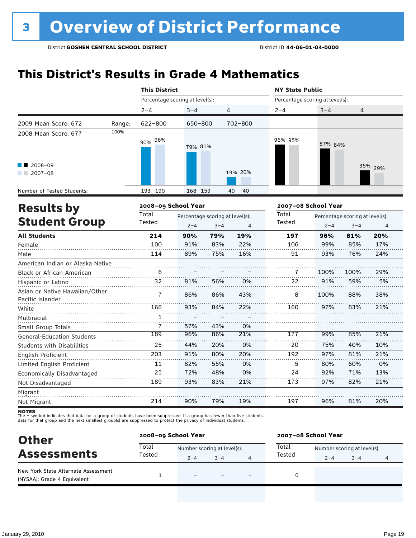## **This District's Results in Grade 4 Mathematics**

|                                                    |        | <b>This District</b>            |         |                                            |          | <b>NY State Public</b>          |                     |                                            |         |
|----------------------------------------------------|--------|---------------------------------|---------|--------------------------------------------|----------|---------------------------------|---------------------|--------------------------------------------|---------|
|                                                    |        | Percentage scoring at level(s): |         |                                            |          | Percentage scoring at level(s): |                     |                                            |         |
|                                                    |        | $2 - 4$                         | $3 - 4$ | 4                                          |          | $2 - 4$                         | $3 - 4$             | 4                                          |         |
| 2009 Mean Score: 672                               | Range: | 622-800                         | 650-800 |                                            | 702-800  |                                 |                     |                                            |         |
| 2008 Mean Score: 677                               | 100%   | 96%<br>90%                      | 79% 81% |                                            |          | 96% 95%                         | 87% 84%             |                                            |         |
| 2008-09<br>$2007 - 08$                             |        |                                 |         |                                            | 19% 20%  |                                 |                     |                                            | 35% 29% |
| Number of Tested Students:                         |        | 193 190                         | 168 159 |                                            | 40<br>40 |                                 |                     |                                            |         |
| <b>Results by</b>                                  |        | 2008-09 School Year             |         |                                            |          |                                 | 2007-08 School Year |                                            |         |
| <b>Student Group</b>                               |        | Total<br>Tested                 | $2 - 4$ | Percentage scoring at level(s):<br>$3 - 4$ | 4        | Total<br>Tested                 | $2 - 4$             | Percentage scoring at level(s):<br>$3 - 4$ | 4       |
| <b>All Students</b>                                |        | 214                             | 90%     | 79%                                        | 19%      | 197                             | 96%                 | 81%                                        | 20%     |
| Female                                             |        | 100                             | 91%     | 83%                                        | 22%      | 106                             | 99%                 | 85%                                        | 17%     |
| Male                                               |        | 114                             | 89%     | 75%                                        | 16%      | 91                              | 93%                 | 76%                                        | 24%     |
| American Indian or Alaska Native                   |        |                                 |         |                                            |          |                                 |                     |                                            |         |
| Black or African American                          |        | 6                               |         |                                            |          | 7                               | 100%                | 100%                                       | 29%     |
| Hispanic or Latino                                 |        | 32                              | 81%     | 56%                                        | 0%       | 22                              | 91%                 | 59%                                        | 5%      |
| Asian or Native Hawaiian/Other<br>Pacific Islander |        | $\overline{1}$                  | 86%     | 86%                                        | 43%      | 8                               | 100%                | 88%                                        | 38%     |
| White                                              |        | 168                             | 93%     | 84%                                        | 22%      | 160                             | 97%                 | 83%                                        | 21%     |
| Multiracial                                        |        | 1                               |         |                                            |          |                                 |                     |                                            |         |
| Small Group Totals                                 |        | 7                               | 57%     | 43%                                        | 0%       |                                 |                     |                                            |         |
| <b>General-Education Students</b>                  |        | 189                             | 96%     | 86%                                        | 21%      | 177                             | 99%                 | 85%                                        | 21%     |
| <b>Students with Disabilities</b>                  |        | 25                              | 44%     | 20%                                        | 0%       | 20                              | 75%                 | 40%                                        | 10%     |
| <b>English Proficient</b>                          |        | 203                             | 91%     | 80%                                        | 20%      | 192                             | 97%                 | 81%                                        | 21%     |
| Limited English Proficient                         |        | 11                              | 82%     | 55%                                        | 0%       | 5                               | 80%                 | 60%                                        | 0%      |
| Economically Disadvantaged                         |        | 25                              | 72%     | 48%                                        | 0%       | 24                              | 92%                 | 71%                                        | 13%     |
| Not Disadvantaged                                  |        | 189                             | 93%     | 83%                                        | 21%      | 173                             | 97%                 | 82%                                        | 21%     |
| Migrant                                            |        |                                 |         |                                            |          |                                 |                     |                                            |         |
| Not Migrant                                        |        | 214                             | 90%     | 79%                                        | 19%      | 197                             | 96%                 | 81%                                        | 20%     |

**NOTES**<br>The – symbol indicates that data for a group of students have been suppressed. If a group has fewer than five students,<br>data for that group and the next smallest group(s) are suppressed to protect the privacy of in

| <b>Other</b>                                                       | 2008-09 School Year |                             |         |                          | 2007-08 School Year |                             |         |   |  |
|--------------------------------------------------------------------|---------------------|-----------------------------|---------|--------------------------|---------------------|-----------------------------|---------|---|--|
| <b>Assessments</b>                                                 | Total<br>Tested     | Number scoring at level(s): |         |                          | Total               | Number scoring at level(s): |         |   |  |
|                                                                    |                     | $2 - 4$                     | $3 - 4$ |                          | Tested              | $2 - 4$                     | $3 - 4$ | 4 |  |
| New York State Alternate Assessment<br>(NYSAA): Grade 4 Equivalent |                     | $\equiv$                    |         | $\overline{\phantom{0}}$ |                     |                             |         |   |  |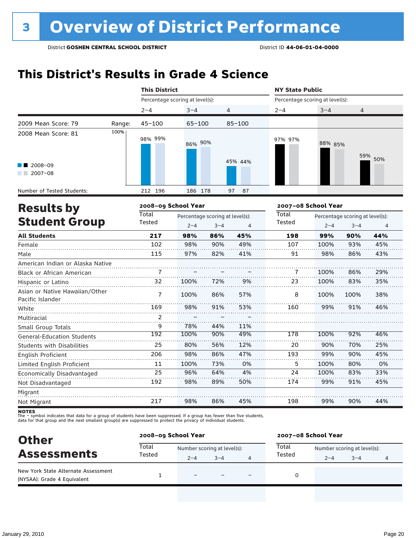## **This District's Results in Grade 4 Science**

|                                                    | <b>This District</b> |                                 |                                 |                | <b>NY State Public</b>          |         |                                 |                |
|----------------------------------------------------|----------------------|---------------------------------|---------------------------------|----------------|---------------------------------|---------|---------------------------------|----------------|
|                                                    |                      | Percentage scoring at level(s): |                                 |                | Percentage scoring at level(s): |         |                                 |                |
|                                                    | $2 - 4$              | $3 - 4$                         |                                 | 4              | $2 - 4$                         | $3 - 4$ | $\overline{4}$                  |                |
| 2009 Mean Score: 79                                | $45 - 100$<br>Range: | $65 - 100$                      |                                 | $85 - 100$     |                                 |         |                                 |                |
| 2008 Mean Score: 81                                | 100%<br>98% 99%      | 86% 90%                         |                                 |                | 97% 97%                         | 88% 85% | 59%                             | 50%            |
| 2008-09<br>$2007 - 08$                             |                      |                                 |                                 | 45% 44%        |                                 |         |                                 |                |
| Number of Tested Students:                         | 212 196              | 186 178                         |                                 | 97<br>87       |                                 |         |                                 |                |
| <b>Results by</b>                                  |                      | 2008-09 School Year             |                                 |                | 2007-08 School Year             |         |                                 |                |
|                                                    | Total                |                                 | Percentage scoring at level(s): |                | Total                           |         | Percentage scoring at level(s): |                |
| <b>Student Group</b>                               | Tested               | $2 - 4$                         | $3 - 4$                         | $\overline{4}$ | Tested                          | $2 - 4$ | $3 - 4$                         | $\overline{4}$ |
| <b>All Students</b>                                | 217                  | 98%                             | 86%                             | 45%            | 198                             | 99%     | 90%                             | 44%            |
| Female                                             | 102                  | 98%                             | 90%                             | 49%            | 107                             | 100%    | 93%                             | 45%            |
| Male                                               | 115                  | 97%                             | 82%                             | 41%            | 91                              | 98%     | 86%                             | 43%            |
| American Indian or Alaska Native                   |                      |                                 |                                 |                |                                 |         |                                 |                |
| Black or African American                          | 7                    |                                 |                                 |                | 7                               | 100%    | 86%                             | 29%            |
| Hispanic or Latino                                 | 32                   | 100%                            | 72%                             | 9%             | 23                              | 100%    | 83%                             | 35%            |
| Asian or Native Hawaiian/Other<br>Pacific Islander | $\overline{7}$       | 100%                            | 86%                             | 57%            | 8                               | 100%    | 100%                            | 38%            |
| White                                              | 169                  | 98%                             | 91%                             | 53%            | 160                             | 99%     | 91%                             | 46%            |
| Multiracial                                        | $\overline{2}$       |                                 |                                 |                |                                 |         |                                 |                |
| Small Group Totals                                 | 9                    | 78%                             | 44%                             | 11%            |                                 |         |                                 |                |
| <b>General-Education Students</b>                  | 192                  | 100%                            | 90%                             | 49%            | 178                             | 100%    | 92%                             | 46%            |
| <b>Students with Disabilities</b>                  | 25                   | 80%                             | 56%                             | 12%            | 20                              | 90%     | 70%                             | 25%            |
| <b>English Proficient</b>                          | 206                  | 98%                             | 86%                             | 47%            | 193                             | 99%     | 90%                             | 45%            |
| Limited English Proficient                         | 11                   | 100%                            | 73%                             | 0%             | 5                               | 100%    | 80%                             | 0%             |
| Economically Disadvantaged                         | 25                   | 96%                             | 64%                             | 4%             | 24                              | 100%    | 83%                             | 33%            |
| Not Disadvantaged                                  | 192                  | 98%                             | 89%                             | 50%            | 174                             | 99%     | 91%                             | 45%            |
| Migrant                                            |                      |                                 |                                 |                |                                 |         |                                 |                |
| Not Migrant                                        | 217                  | 98%                             | 86%                             | 45%            | 198                             | 99%     | 90%                             | 44%            |

**NOTES**<br>The – symbol indicates that data for a group of students have been suppressed. If a group has fewer than five students,<br>data for that group and the next smallest group(s) are suppressed to protect the privacy of in

| <b>Other</b>                                                       |                 | 2008-09 School Year         |         |  |        | 2007-08 School Year         |         |                |  |  |
|--------------------------------------------------------------------|-----------------|-----------------------------|---------|--|--------|-----------------------------|---------|----------------|--|--|
| <b>Assessments</b>                                                 | Total<br>Tested | Number scoring at level(s): |         |  | Total  | Number scoring at level(s): |         |                |  |  |
|                                                                    |                 | $2 - 4$                     | $3 - 4$ |  | Tested | $2 - 4$                     | $3 - 4$ | $\overline{4}$ |  |  |
| New York State Alternate Assessment<br>(NYSAA): Grade 4 Equivalent |                 | $\overline{\phantom{0}}$    |         |  |        |                             |         |                |  |  |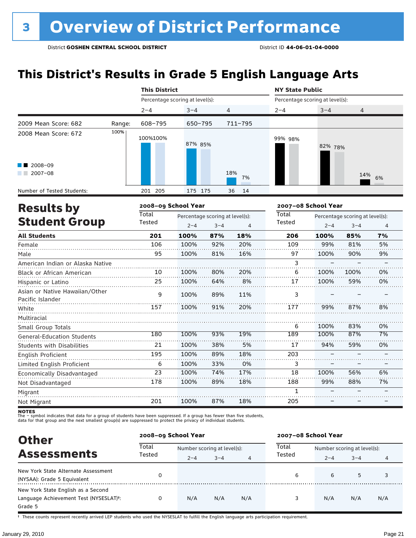## **This District's Results in Grade 5 English Language Arts**

|                                                    |        | <b>This District</b> |                                 |         |           | <b>NY State Public</b>          |                                 |         |                |  |
|----------------------------------------------------|--------|----------------------|---------------------------------|---------|-----------|---------------------------------|---------------------------------|---------|----------------|--|
|                                                    |        |                      | Percentage scoring at level(s): |         |           | Percentage scoring at level(s): |                                 |         |                |  |
|                                                    |        | $2 - 4$              | $3 - 4$                         | 4       |           | $2 - 4$                         | $3 - 4$                         | 4       |                |  |
| 2009 Mean Score: 682                               | Range: | 608-795              | $650 - 795$                     |         | 711-795   |                                 |                                 |         |                |  |
| 2008 Mean Score: 672                               | 100%   | 100%100%             | 87% 85%                         |         |           | 99% 98%                         | 82% 78%                         |         |                |  |
| $2008 - 09$<br>$2007 - 08$                         |        |                      |                                 |         | 18%<br>7% |                                 |                                 | 14%     | 6%             |  |
| Number of Tested Students:                         |        | 205<br>201           | 175 175                         |         | 14<br>36  |                                 |                                 |         |                |  |
| <b>Results by</b>                                  |        |                      | 2008-09 School Year             |         |           |                                 | 2007-08 School Year             |         |                |  |
|                                                    |        | Total                | Percentage scoring at level(s): |         |           | Total                           | Percentage scoring at level(s): |         |                |  |
| <b>Student Group</b>                               |        | Tested               | $2 - 4$                         | $3 - 4$ | 4         | Tested                          | $2 - 4$                         | $3 - 4$ | $\overline{4}$ |  |
| <b>All Students</b>                                |        | 201                  | 100%                            | 87%     | 18%       | 206                             | 100%                            | 85%     | 7%             |  |
| Female                                             |        | 106                  | 100%                            | 92%     | 20%       | 109                             | 99%                             | 81%     | 5%             |  |
| Male                                               |        | 95                   | 100%                            | 81%     | 16%       | 97                              | 100%                            | 90%     | 9%             |  |
| American Indian or Alaska Native                   |        |                      |                                 |         |           | 3                               |                                 |         |                |  |
| <b>Black or African American</b>                   |        | 10                   | 100%                            | 80%     | 20%       | 6                               | 100%                            | 100%    | 0%             |  |
| Hispanic or Latino                                 |        | 25                   | 100%                            | 64%     | 8%        | 17                              | 100%                            | 59%     | 0%             |  |
| Asian or Native Hawaiian/Other<br>Pacific Islander |        | 9                    | 100%                            | 89%     | 11%       | 3                               |                                 |         |                |  |

| $1.111$ $1.1111$                  |     |      |     |     |     |      |     |    |
|-----------------------------------|-----|------|-----|-----|-----|------|-----|----|
| White                             | 157 | 100% | 91% | 20% | 177 | 99%  | 87% | 8% |
| Multiracial                       |     |      |     |     |     |      |     |    |
| Small Group Totals                |     |      |     |     | 6   | 100% | 83% | 0% |
| <b>General-Education Students</b> | 180 | 100% | 93% | 19% | 189 | 100% | 87% | 7% |
| <b>Students with Disabilities</b> | 21  | 100% | 38% | 5%  | 17  | 94%  | 59% | 0% |
| English Proficient                | 195 | 100% | 89% | 18% | 203 |      |     |    |
| Limited English Proficient        | 6   | 100% | 33% | 0%  |     |      |     |    |
| Economically Disadvantaged        | 23  | 100% | 74% | 17% | 18  | 100% | 56% | 6% |
| Not Disadvantaged                 | 178 | 100% | 89% | 18% | 188 | 99%  | 88% | 7% |
| Migrant                           |     |      |     |     |     |      |     |    |
| Not Migrant                       | 201 | 100% | 87% | 18% | 205 |      |     |    |
|                                   |     |      |     |     |     |      |     |    |

**NOTES**<br>The – symbol indicates that data for a group of students have been suppressed. If a group has fewer than five students,<br>data for that group and the next smallest group(s) are suppressed to protect the privacy of in

| <b>Other</b>                                                                                         |                                      | 2008-09 School Year |         |                             | 2007-08 School Year |         |         |     |  |  |
|------------------------------------------------------------------------------------------------------|--------------------------------------|---------------------|---------|-----------------------------|---------------------|---------|---------|-----|--|--|
|                                                                                                      | Total<br>Number scoring at level(s): |                     | Total   | Number scoring at level(s): |                     |         |         |     |  |  |
| <b>Assessments</b>                                                                                   | Tested                               | $2 - 4$             | $3 - 4$ | 4                           | Tested              | $2 - 4$ | $3 - 4$ | 4   |  |  |
| New York State Alternate Assessment<br>(NYSAA): Grade 5 Equivalent                                   | 0                                    |                     |         |                             | 6                   | 6       | 5       |     |  |  |
| New York State English as a Second<br>Language Achievement Test (NYSESLAT) <sup>t</sup> :<br>Grade 5 | 0                                    | N/A                 | N/A     | N/A                         | 3                   | N/A     | N/A     | N/A |  |  |

† These counts represent recently arrived LEP students who used the NYSESLAT to fulfill the English language arts participation requirement.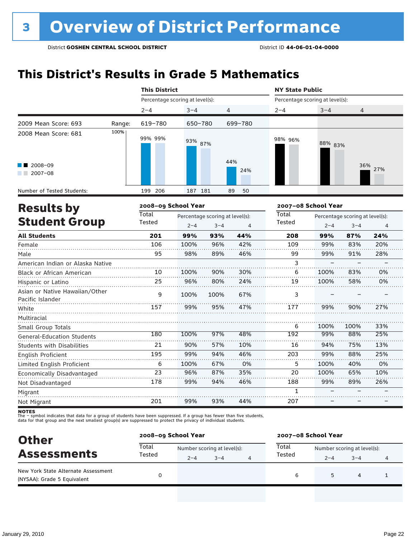## **This District's Results in Grade 5 Mathematics**

|                                                    |        | <b>This District</b>            |         |                                 |            | <b>NY State Public</b>          |                                 |         |     |  |  |
|----------------------------------------------------|--------|---------------------------------|---------|---------------------------------|------------|---------------------------------|---------------------------------|---------|-----|--|--|
|                                                    |        | Percentage scoring at level(s): |         |                                 |            | Percentage scoring at level(s): |                                 |         |     |  |  |
|                                                    |        | $2 - 4$                         | $3 - 4$ | 4                               |            | $2 - 4$                         | $3 - 4$                         | 4       |     |  |  |
| 2009 Mean Score: 693                               | Range: | 619-780                         | 650-780 |                                 | 699-780    |                                 |                                 |         |     |  |  |
| 2008 Mean Score: 681                               | 100%   | 99% 99%                         | 93% 87% |                                 |            | 98% 96%                         | 88% 83%                         |         |     |  |  |
| 2008-09<br>$2007 - 08$                             |        |                                 |         |                                 | 44%<br>24% |                                 |                                 | 36%     | 27% |  |  |
| Number of Tested Students:                         |        | 199 206                         | 187 181 |                                 | 89<br>50   |                                 |                                 |         |     |  |  |
| <b>Results by</b>                                  |        | 2008-09 School Year             |         |                                 |            | 2007-08 School Year             |                                 |         |     |  |  |
|                                                    |        | Total                           |         | Percentage scoring at level(s): |            | Total                           | Percentage scoring at level(s): |         |     |  |  |
| <b>Student Group</b>                               |        | Tested                          | $2 - 4$ | $3 - 4$                         | 4          | Tested                          | $2 - 4$                         | $3 - 4$ | 4   |  |  |
| <b>All Students</b>                                |        | 201                             | 99%     | 93%                             | 44%        | 208                             | 99%                             | 87%     | 24% |  |  |
| Female                                             |        | 106                             | 100%    | 96%                             | 42%        | 109                             | 99%                             | 83%     | 20% |  |  |
| Male                                               |        | 95                              | 98%     | 89%                             | 46%        | 99                              | 99%                             | 91%     | 28% |  |  |
| American Indian or Alaska Native                   |        |                                 |         |                                 |            | 3                               |                                 |         |     |  |  |
| <b>Black or African American</b>                   |        | 10                              | 100%    | 90%                             | 30%        | 6                               | 100%                            | 83%     | 0%  |  |  |
| Hispanic or Latino                                 |        | 25                              | 96%     | 80%                             | 24%        | 19                              | 100%                            | 58%     | 0%  |  |  |
| Asian or Native Hawaiian/Other<br>Pacific Islander |        | 9                               | 100%    | 100%                            | 67%        | 3                               |                                 |         |     |  |  |
| White                                              |        | 157                             | 99%     | 95%                             | 47%        | 177                             | 99%                             | 90%     | 27% |  |  |
| Multiracial                                        |        |                                 |         |                                 |            |                                 |                                 |         |     |  |  |

Migrant Not Migrant

Small Group Totals

English Proficient

Not Disadvantaged

General-Education Students Students with Disabilities

Limited English Proficient Economically Disadvantaged

**NOTES**<br>The – symbol indicates that data for a group of students have been suppressed. If a group has fewer than five students,<br>data for that group and the next smallest group(s) are suppressed to protect the privacy of in

100% 90% 99% 100% 96% 99%

97% 57% 94% 67% 87% 94%

48% 10% 46% 0% 35% 46%

100% 99% 94% 99% 100% 100% 99% – –

100% 88% 75% 88% 40% 65% 89% – –

33% 25% 13% 25% 0% 10% 26% – –

44%

93%

99%

201

| <b>Other</b>                                                                             |                 | 2008-09 School Year<br>2007-08 School Year |         |  |                 |                             |              |   |
|------------------------------------------------------------------------------------------|-----------------|--------------------------------------------|---------|--|-----------------|-----------------------------|--------------|---|
| <b>Assessments</b><br>New York State Alternate Assessment<br>(NYSAA): Grade 5 Equivalent | Total<br>Tested | Number scoring at level(s):                |         |  | Total<br>Tested | Number scoring at level(s): |              |   |
|                                                                                          |                 | $2 - 4$                                    | $3 - 4$ |  | 6               | $2 - 4$                     | $3 - 4$<br>4 | 4 |
|                                                                                          |                 |                                            |         |  |                 |                             |              |   |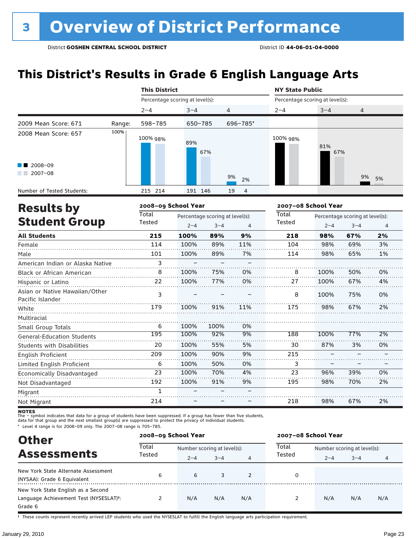## **This District's Results in Grade 6 English Language Arts**

|                                                             |        | <b>This District</b>            |                                 |          | <b>NY State Public</b>          |                                 |                |  |  |
|-------------------------------------------------------------|--------|---------------------------------|---------------------------------|----------|---------------------------------|---------------------------------|----------------|--|--|
|                                                             |        | Percentage scoring at level(s): |                                 |          | Percentage scoring at level(s): |                                 |                |  |  |
|                                                             |        | $2 - 4$                         | $3 - 4$                         | 4        | $2 - 4$                         | $3 - 4$                         | $\overline{4}$ |  |  |
| 2009 Mean Score: 671                                        | Range: | 598-785                         | 650-785                         | 696-785* |                                 |                                 |                |  |  |
| 2008 Mean Score: 657<br>2008-09<br>a sa Bara<br>$2007 - 08$ | 100%   | 100% 98%                        | 89%<br>67%                      | 9%<br>2% | 100% 98%                        | 81%<br>67%                      | 9%<br>5%       |  |  |
| Number of Tested Students:                                  |        | 215 214                         | 191 146                         | 19<br>4  |                                 |                                 |                |  |  |
| <b>Results by</b>                                           |        | 2008-09 School Year             |                                 |          | 2007-08 School Year             |                                 |                |  |  |
|                                                             |        | Total                           | Percentage scoring at level(s): |          | Total                           | Percentage scoring at level(s): |                |  |  |
| <b>Student Group</b>                                        |        | Tested                          | $3 - 4$<br>$2 - 4$              | 4        | Tested                          | $2 - 4$                         | $3 - 4$<br>4   |  |  |

| <b>All Students</b>                                | 215 | 100% | 89%  | 9%  | 218 | 98%  | 67% | 2% |
|----------------------------------------------------|-----|------|------|-----|-----|------|-----|----|
| Female                                             | 114 | 100% | 89%  | 11% | 104 | 98%  | 69% | 3% |
| Male                                               | 101 | 100% | 89%  | 7%  | 114 | 98%  | 65% | 1% |
| American Indian or Alaska Native                   | 3   |      |      |     |     |      |     |    |
| Black or African American                          | 8   | 100% | 75%  | 0%  | 8   | 100% | 50% | 0% |
| Hispanic or Latino                                 | 22  | 100% | 77%  | 0%  | 27  | 100% | 67% | 4% |
| Asian or Native Hawaiian/Other<br>Pacific Islander | 3   |      |      |     | 8   | 100% | 75% | 0% |
| White                                              | 179 | 100% | 91%  | 11% | 175 | 98%  | 67% | 2% |
| Multiracial                                        |     |      |      |     |     |      |     |    |
| Small Group Totals                                 | 6   | 100% | 100% | 0%  |     |      |     |    |
| <b>General-Education Students</b>                  | 195 | 100% | 92%  | 9%  | 188 | 100% | 77% | 2% |
| <b>Students with Disabilities</b>                  | 20  | 100% | 55%  | 5%  | 30  | 87%  | 3%  | 0% |
| English Proficient                                 | 209 | 100% | 90%  | 9%  | 215 |      |     |    |
| Limited English Proficient                         | 6   | 100% | 50%  | 0%  | 3   |      |     |    |
| Economically Disadvantaged                         | 23  | 100% | 70%  | 4%  | 23  | 96%  | 39% | 0% |
| Not Disadvantaged                                  | 192 | 100% | 91%  | 9%  | 195 | 98%  | 70% | 2% |
| Migrant                                            | 1   |      |      |     |     |      |     |    |
| Not Migrant                                        | 214 |      |      |     | 218 | 98%  | 67% | 2% |

**NOTES**<br>The – symbol indicates that data for a group of students have been suppressed. If a group has fewer than five students,<br>data for that group and the next smallest group(s) are suppressed to protect the privacy of in

\* Level 4 range is for 2008–09 only. The 2007–08 range is 705–785.

| <b>Other</b>                                        | 2008-09 School Year |                             |         |               |        | 2007-08 School Year         |         |     |  |  |  |
|-----------------------------------------------------|---------------------|-----------------------------|---------|---------------|--------|-----------------------------|---------|-----|--|--|--|
| <b>Assessments</b>                                  | Total               | Number scoring at level(s): |         |               | Total  | Number scoring at level(s): |         |     |  |  |  |
|                                                     | Tested              | $2 - 4$                     | $3 - 4$ | 4             | Tested | $2 - 4$                     | $3 - 4$ | 4   |  |  |  |
| New York State Alternate Assessment                 | 6                   | 6                           | 3       | $\mathcal{P}$ | 0      |                             |         |     |  |  |  |
| (NYSAA): Grade 6 Equivalent                         |                     |                             |         |               |        |                             |         |     |  |  |  |
| New York State English as a Second                  |                     |                             |         |               |        |                             |         |     |  |  |  |
| Language Achievement Test (NYSESLAT) <sup>+</sup> : |                     | N/A                         | N/A     | N/A           | 2      | N/A                         | N/A     | N/A |  |  |  |
| Grade 6                                             |                     |                             |         |               |        |                             |         |     |  |  |  |

† These counts represent recently arrived LEP students who used the NYSESLAT to fulfill the English language arts participation requirement.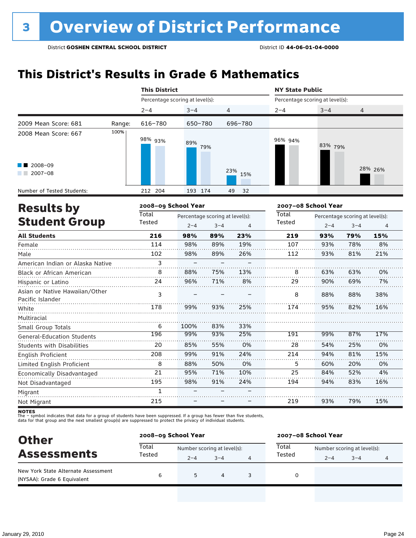## **This District's Results in Grade 6 Mathematics**

|                                                    |        | <b>This District</b>            |             |                                            |                | <b>NY State Public</b>          |                                                            |     |         |  |
|----------------------------------------------------|--------|---------------------------------|-------------|--------------------------------------------|----------------|---------------------------------|------------------------------------------------------------|-----|---------|--|
|                                                    |        | Percentage scoring at level(s): |             |                                            |                | Percentage scoring at level(s): |                                                            |     |         |  |
|                                                    |        | $2 - 4$                         | $3 - 4$     |                                            | 4              | $2 - 4$                         | $3 - 4$                                                    | 4   |         |  |
| 2009 Mean Score: 681                               | Range: | 616-780                         | 650-780     |                                            | 696-780        |                                 |                                                            |     |         |  |
| 2008 Mean Score: 667                               | 100%   | 98% 93%                         | 89%         | 79%                                        |                | 96% 94%                         | 83% 79%                                                    |     |         |  |
| 2008-09<br>$2007 - 08$                             |        |                                 |             | 23%<br>15%                                 |                |                                 |                                                            |     | 28% 26% |  |
| Number of Tested Students:                         |        | 212 204                         | 193 174     |                                            | 49<br>32       |                                 |                                                            |     |         |  |
| <b>Results by</b>                                  |        | 2008-09 School Year             |             |                                            |                | 2007-08 School Year             |                                                            |     |         |  |
| <b>Student Group</b>                               |        | Total<br>Tested                 | $2 - 4$     | Percentage scoring at level(s):<br>$3 - 4$ | $\overline{4}$ | Total<br>Tested                 | Percentage scoring at level(s):<br>$2 - 4$<br>$3 - 4$<br>4 |     |         |  |
| <b>All Students</b>                                |        | 216                             | 98%         | 89%                                        | 23%            | 219                             | 93%                                                        | 79% | 15%     |  |
| Female                                             |        | 114                             | 98%         | 89%                                        | 19%            | 107                             | 93%                                                        | 78% | 8%      |  |
| Male                                               |        | 102                             | 98%         | 89%                                        | 26%            | 112                             | 93%                                                        | 81% | 21%     |  |
| American Indian or Alaska Native                   |        | 3                               |             |                                            |                |                                 |                                                            |     |         |  |
| <b>Black or African American</b>                   |        | 8                               | 88%         | 75%                                        | 13%            | 8                               | 63%                                                        | 63% | 0%      |  |
| Hispanic or Latino                                 |        | 24                              | 96%         | 71%                                        | 8%             | 29                              | 90%                                                        | 69% | 7%      |  |
| Asian or Native Hawaiian/Other<br>Pacific Islander |        | 3                               |             |                                            |                | 8                               | 88%                                                        | 88% | 38%     |  |
| White                                              |        | 178                             | 99%         | 93%                                        | 25%            | 174                             | 95%                                                        | 82% | 16%     |  |
| Multiracial                                        |        |                                 |             |                                            |                |                                 |                                                            |     |         |  |
| Small Group Totals                                 |        | 6<br>196                        | 100%<br>99% | 83%<br>93%                                 | 33%<br>25%     |                                 | 99%                                                        | 87% | 17%     |  |
| <b>General-Education Students</b>                  |        |                                 |             |                                            |                | 191                             |                                                            |     |         |  |
| Students with Disabilities                         |        | 20                              | 85%         | 55%                                        | 0%             | 28                              | 54%                                                        | 25% | 0%      |  |
| English Proficient                                 |        | 208                             | 99%         | 91%                                        | 24%            | 214                             | 94%                                                        | 81% | 15%     |  |
| Limited English Proficient                         |        | 8                               | 88%         | 50%                                        | 0%             | 5                               | 60%                                                        | 20% | 0%      |  |
| Economically Disadvantaged                         |        | 21                              | 95%         | 71%                                        | 10%            | 25                              | 84%                                                        | 52% | 4%      |  |
| Not Disadvantaged                                  |        | 195                             | 98%         | 91%                                        | 24%            | 194                             | 94%                                                        | 83% | 16%     |  |
| Migrant                                            |        | $\mathbf{1}$                    |             |                                            |                |                                 |                                                            |     |         |  |
| Not Migrant                                        |        | 215                             |             |                                            |                | 219                             | 93%                                                        | 79% | 15%     |  |

**NOTES**<br>The – symbol indicates that data for a group of students have been suppressed. If a group has fewer than five students,<br>data for that group and the next smallest group(s) are suppressed to protect the privacy of in

| <b>Other</b>                                                       | 2008-09 School Year |                             |                |   |        | 2007-08 School Year         |         |   |  |  |
|--------------------------------------------------------------------|---------------------|-----------------------------|----------------|---|--------|-----------------------------|---------|---|--|--|
| <b>Assessments</b>                                                 | Total               | Number scoring at level(s): |                |   | Total  | Number scoring at level(s): |         |   |  |  |
|                                                                    | Tested              | $2 - 4$                     | $3 - 4$        | 4 | Tested | $2 - 4$                     | $3 - 4$ | 4 |  |  |
| New York State Alternate Assessment<br>(NYSAA): Grade 6 Equivalent | 6                   | 5                           | $\overline{a}$ |   |        |                             |         |   |  |  |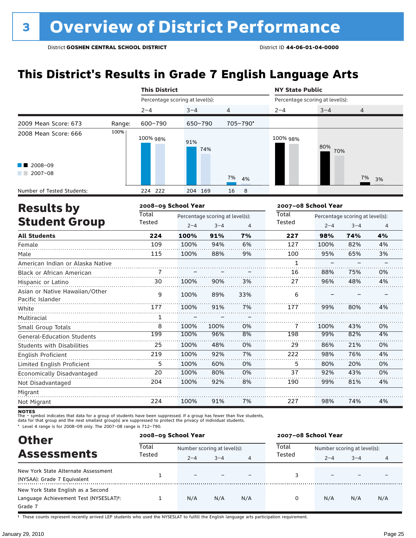## **This District's Results in Grade 7 English Language Arts**

|                                                                       |        | <b>This District</b>            |            |                  | <b>NY State Public</b> |                                 |          |  |  |
|-----------------------------------------------------------------------|--------|---------------------------------|------------|------------------|------------------------|---------------------------------|----------|--|--|
|                                                                       |        | Percentage scoring at level(s): |            |                  |                        | Percentage scoring at level(s): |          |  |  |
|                                                                       |        | $2 - 4$                         | $3 - 4$    | 4                | $2 - 4$                | $3 - 4$                         | 4        |  |  |
| 2009 Mean Score: 673                                                  | Range: | 600-790                         | 650-790    | 705-790*         |                        |                                 |          |  |  |
| 2008 Mean Score: 666<br>$\blacksquare$ 2008-09<br>$2007 - 08$<br>a ka | 100%   | 100% 98%                        | 91%<br>74% | 7%<br>4%         | 100% 98%               | 80%<br>70%                      | 7%<br>3% |  |  |
| Number of Tested Students:                                            |        | 224 222                         | 204 169    | 16<br>$_{\rm 8}$ |                        |                                 |          |  |  |
|                                                                       |        |                                 |            |                  |                        |                                 |          |  |  |

| <b>Results by</b>                                  |        | 2008-09 School Year |                                 |     |        | 2007-08 School Year |                                 |    |  |  |
|----------------------------------------------------|--------|---------------------|---------------------------------|-----|--------|---------------------|---------------------------------|----|--|--|
|                                                    | Total  |                     | Percentage scoring at level(s): |     | Total  |                     | Percentage scoring at level(s): |    |  |  |
| <b>Student Group</b>                               | Tested | $2 - 4$             | $3 - 4$                         | 4   | Tested | $2 - 4$             | $3 - 4$                         | 4  |  |  |
| <b>All Students</b>                                | 224    | 100%                | 91%                             | 7%  | 227    | 98%                 | 74%                             | 4% |  |  |
| Female                                             | 109    | 100%                | 94%                             | 6%  | 127    | 100%                | 82%                             | 4% |  |  |
| Male                                               | 115    | 100%                | 88%                             | 9%  | 100    | 95%                 | 65%                             | 3% |  |  |
| American Indian or Alaska Native                   |        |                     |                                 |     | 1      |                     |                                 |    |  |  |
| <b>Black or African American</b>                   |        |                     |                                 |     | 16     | 88%                 | 75%                             | 0% |  |  |
| Hispanic or Latino                                 | 30     | 100%                | 90%                             | 3%  | 27     | 96%                 | 48%                             | 4% |  |  |
| Asian or Native Hawaiian/Other<br>Pacific Islander | 9      | 100%                | 89%                             | 33% | 6      |                     |                                 |    |  |  |
| White                                              | 177    | 100%                | 91%                             | 7%  | 177    | 99%                 | 80%                             | 4% |  |  |
| Multiracial                                        | 1      |                     |                                 |     |        |                     |                                 |    |  |  |
| Small Group Totals                                 | 8      | 100%                | 100%                            | 0%  | 7      | 100%                | 43%                             | 0% |  |  |
| <b>General-Education Students</b>                  | 199    | 100%                | 96%                             | 8%  | 198    | 99%                 | 82%                             | 4% |  |  |
| <b>Students with Disabilities</b>                  | 25     | 100%                | 48%                             | 0%  | 29     | 86%                 | 21%                             | 0% |  |  |
| English Proficient                                 | 219    | 100%                | 92%                             | 7%  | 222    | 98%                 | 76%                             | 4% |  |  |
| Limited English Proficient                         | 5      | 100%                | 60%                             | 0%  | 5      | 80%                 | 20%                             | 0% |  |  |
| Economically Disadvantaged                         | 20     | 100%                | 80%                             | 0%  | 37     | 92%                 | 43%                             | 0% |  |  |
| Not Disadvantaged                                  | 204    | 100%                | 92%                             | 8%  | 190    | 99%                 | 81%                             | 4% |  |  |
| Migrant                                            |        |                     |                                 |     |        |                     |                                 |    |  |  |
| Not Migrant                                        | 224    | 100%                | 91%                             | 7%  | 227    | 98%                 | 74%                             | 4% |  |  |

**NOTES**<br>The – symbol indicates that data for a group of students have been suppressed. If a group has fewer than five students,<br>data for that group and the next smallest group(s) are suppressed to protect the privacy of in

\* Level 4 range is for 2008–09 only. The 2007–08 range is 712–790.

| <b>Other</b>                                        | 2008-09 School Year |                             |         |     | 2007-08 School Year |                             |         |     |  |  |
|-----------------------------------------------------|---------------------|-----------------------------|---------|-----|---------------------|-----------------------------|---------|-----|--|--|
| <b>Assessments</b>                                  | Total<br>Tested     | Number scoring at level(s): |         |     | Total               | Number scoring at level(s): |         |     |  |  |
|                                                     |                     | $2 - 4$                     | $3 - 4$ | 4   | Tested              | $2 - 4$                     | $3 - 4$ | 4   |  |  |
| New York State Alternate Assessment                 |                     |                             |         |     |                     |                             |         |     |  |  |
| (NYSAA): Grade 7 Equivalent                         |                     |                             |         |     |                     |                             |         |     |  |  |
| New York State English as a Second                  |                     |                             |         |     |                     |                             |         |     |  |  |
| Language Achievement Test (NYSESLAT) <sup>+</sup> : |                     | N/A                         | N/A     | N/A |                     | N/A                         | N/A     | N/A |  |  |
| Grade 7                                             |                     |                             |         |     |                     |                             |         |     |  |  |

† These counts represent recently arrived LEP students who used the NYSESLAT to fulfill the English language arts participation requirement.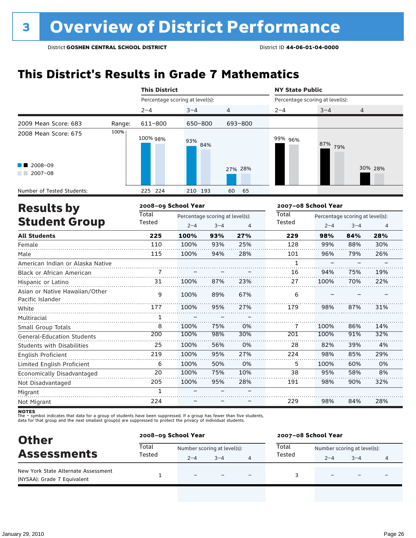## **This District's Results in Grade 7 Mathematics**

|                                                    | <b>This District</b> |                     |                                 |              |          | <b>NY State Public</b> |                                 |                                 |         |  |
|----------------------------------------------------|----------------------|---------------------|---------------------------------|--------------|----------|------------------------|---------------------------------|---------------------------------|---------|--|
|                                                    |                      |                     | Percentage scoring at level(s): |              |          |                        | Percentage scoring at level(s): |                                 |         |  |
|                                                    |                      | $2 - 4$             | $3 - 4$                         | 4            |          | $2 - 4$                | $3 - 4$                         | 4                               |         |  |
| 2009 Mean Score: 683                               | Range:               | 611-800             | 650-800                         |              | 693-800  |                        |                                 |                                 |         |  |
| 2008 Mean Score: 675                               | 100%                 | 100% 98%            | 93%                             | 84%          |          | 99% 96%                | 87%<br>79%                      |                                 |         |  |
| 2008-09<br>$2007 - 08$                             |                      |                     |                                 |              | 27% 28%  |                        |                                 |                                 | 30% 28% |  |
| Number of Tested Students:                         |                      | 225 224             | 210 193                         |              | 60<br>65 |                        |                                 |                                 |         |  |
| <b>Results by</b>                                  |                      | 2008-09 School Year |                                 |              |          |                        | 2007-08 School Year             |                                 |         |  |
|                                                    |                      | Total               | Percentage scoring at level(s): |              |          | Total                  |                                 | Percentage scoring at level(s): |         |  |
| <b>Student Group</b>                               |                      | Tested              | $2 - 4$                         | $3 - 4$<br>4 |          | Tested                 | $2 - 4$                         | $3 - 4$                         | 4       |  |
| <b>All Students</b>                                |                      | 225                 | 100%                            | 93%          | 27%      | 229                    | 98%                             | 84%                             | 28%     |  |
| Female                                             |                      | 110                 | 100%                            | 93%          | 25%      | 128                    | 99%                             | 88%                             | 30%     |  |
| Male                                               |                      | 115                 | 100%                            | 94%          | 28%      | 101                    | 96%                             | 79%                             | 26%     |  |
| American Indian or Alaska Native                   |                      |                     |                                 |              |          | $\mathbf{1}$           |                                 |                                 |         |  |
| <b>Black or African American</b>                   |                      | 7                   |                                 |              |          | 16                     | 94%                             | 75%                             | 19%     |  |
| Hispanic or Latino                                 |                      | 31                  | 100%                            | 87%          | 23%      | 27                     | 100%                            | 70%                             | 22%     |  |
| Asian or Native Hawaiian/Other<br>Pacific Islander |                      | 9                   | 100%                            | 89%          | 67%      | 6                      |                                 |                                 |         |  |
| White                                              |                      | 177                 | 100%                            | 95%          | 27%      | 179                    | 98%                             | 87%                             | 31%     |  |
| Multiracial                                        |                      | 1                   |                                 |              |          |                        |                                 |                                 |         |  |
| Small Group Totals                                 |                      | 8                   | 100%                            | 75%          | 0%       | 7                      | 100%                            | 86%                             | 14%     |  |

| <b>NOTES</b> |                                                                                                                         |  |  |  |  |  |  |
|--------------|-------------------------------------------------------------------------------------------------------------------------|--|--|--|--|--|--|
|              | The – symbol indicates that data for a group of students have been suppressed. If a group has fewer than five students, |  |  |  |  |  |  |
|              | data for that group and the next smallest group(s) are suppressed to protect the privacy of individual students.        |  |  |  |  |  |  |

100% 100% 100% 100% 100% 100% – –

98% 56% 95% 50% 75% 95% – –

30% 0% 27% 0% 10% 28% – –

100% 82% 98% 100% 95% 98%

91% 39% 85% 60% 58% 90%

32% 4% 29% 0% 8% 32%

28%

84%

98%

229

| <b>Other</b><br><b>Assessments</b>                                 |        | 2008-09 School Year         |         |                          | 2007-08 School Year |                             |                          |   |  |
|--------------------------------------------------------------------|--------|-----------------------------|---------|--------------------------|---------------------|-----------------------------|--------------------------|---|--|
|                                                                    | Total  | Number scoring at level(s): |         |                          | Total               | Number scoring at level(s): |                          |   |  |
|                                                                    | Tested | $2 - 4$                     | $3 - 4$ |                          | Tested              | $2 - 4$                     | $3 - 4$                  | 4 |  |
| New York State Alternate Assessment<br>(NYSAA): Grade 7 Equivalent |        | $\equiv$                    |         | $\overline{\phantom{0}}$ |                     |                             | $\overline{\phantom{0}}$ |   |  |

General-Education Students Students with Disabilities

Limited English Proficient Economically Disadvantaged

English Proficient

Not Disadvantaged

Migrant Not Migrant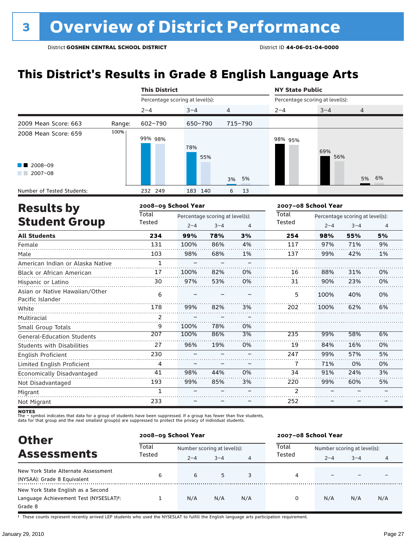## **This District's Results in Grade 8 English Language Arts**

|                                                    |        | <b>This District</b>            |                                                            |     |         | <b>NY State Public</b>          |                     |                                            |                |  |
|----------------------------------------------------|--------|---------------------------------|------------------------------------------------------------|-----|---------|---------------------------------|---------------------|--------------------------------------------|----------------|--|
|                                                    |        | Percentage scoring at level(s): |                                                            |     |         | Percentage scoring at level(s): |                     |                                            |                |  |
|                                                    |        | $2 - 4$                         | $3 - 4$                                                    | 4   |         | $2 - 4$                         | $3 - 4$             | 4                                          |                |  |
| 2009 Mean Score: 663                               | Range: | $602 - 790$                     | 650-790                                                    |     | 715-790 |                                 |                     |                                            |                |  |
| 2008 Mean Score: 659                               | 100%   | 99% 98%                         | 78%                                                        | 55% |         | 98% 95%                         | 69%<br>56%          |                                            |                |  |
| 2008-09<br>$2007 - 08$                             |        |                                 |                                                            | 3%  | 5%      |                                 |                     | 5%                                         | 6%             |  |
| Number of Tested Students:                         |        | 232 249                         | 183 140                                                    | 6   | 13      |                                 |                     |                                            |                |  |
| 2008-09 School Year<br><b>Results by</b>           |        |                                 |                                                            |     |         |                                 | 2007-08 School Year |                                            |                |  |
| <b>Student Group</b>                               |        | Total<br>Tested                 | Percentage scoring at level(s):<br>$2 - 4$<br>$3 - 4$<br>4 |     |         | Total<br>Tested                 | $2 - 4$             | Percentage scoring at level(s):<br>$3 - 4$ | $\overline{4}$ |  |
| <b>All Students</b>                                |        | 234                             | 99%                                                        | 78% | 3%      | 254                             | 98%                 | 55%                                        | 5%             |  |
| Female                                             |        | 131                             | 100%                                                       | 86% | 4%      | 117                             | 97%                 | 71%                                        | 9%             |  |
| Male                                               |        | 103                             | 98%                                                        | 68% | 1%      | 137                             | 99%                 | 42%                                        | 1%             |  |
| American Indian or Alaska Native                   |        | $\mathbf{1}$                    | $\overline{\phantom{0}}$                                   |     |         |                                 |                     |                                            |                |  |
| Black or African American                          |        | 17                              | 100%                                                       | 82% | 0%      | 16                              | 88%                 | 31%                                        | 0%             |  |
| Hispanic or Latino                                 |        | 30                              | 97%                                                        | 53% | 0%      | 31                              | 90%                 | 23%                                        | 0%             |  |
| Asian or Native Hawaiian/Other<br>Pacific Islander |        | 6                               |                                                            |     |         | 5                               | 100%                | 40%                                        | 0%             |  |
| White                                              |        | 178                             | 99%                                                        | 82% | 3%      | 202                             | 100%                | 62%                                        | 6%             |  |
| Multiracial                                        |        | 2                               |                                                            |     |         |                                 |                     |                                            |                |  |
| Small Group Totals                                 |        | 9                               | 100%                                                       | 78% | 0%      |                                 |                     |                                            |                |  |
| <b>General-Education Students</b>                  |        | 207                             | 100%                                                       | 86% | 3%      | 235                             | 99%                 | 58%                                        | 6%             |  |
| <b>Students with Disabilities</b>                  |        | 27                              | 96%                                                        | 19% | 0%      | 19                              | 84%                 | 16%                                        | 0%             |  |
| <b>English Proficient</b>                          |        | 230                             |                                                            |     |         | 247                             | 99%                 | 57%                                        | 5%             |  |
| Limited English Proficient                         |        | 4                               |                                                            |     |         | $\overline{1}$                  | 71%                 | 0%                                         | 0%             |  |

Economically Disadvantaged Not Disadvantaged Migrant Not Migrant 41 193 1 233 98% 99% – – 44% 85% – – 0% 3% – – 34 220 2  $\overline{252}$ 91% 99% – –

**NOTES**<br>The – symbol indicates that data for a group of students have been suppressed. If a group has fewer than five students,<br>data for that group and the next smallest group(s) are suppressed to protect the privacy of in

| <b>Other</b>                                                                            |                 | 2008-09 School Year         |         |     | 2007-08 School Year |                             |         |     |  |
|-----------------------------------------------------------------------------------------|-----------------|-----------------------------|---------|-----|---------------------|-----------------------------|---------|-----|--|
| <b>Assessments</b>                                                                      | Total<br>Tested | Number scoring at level(s): |         |     | Total               | Number scoring at level(s): |         |     |  |
|                                                                                         |                 | $2 - 4$                     | $3 - 4$ | 4   | Tested              | $2 - 4$                     | $3 - 4$ | 4   |  |
| New York State Alternate Assessment<br>(NYSAA): Grade 8 Equivalent                      | 6               | 6                           | 5       | 3   | 4                   |                             |         |     |  |
| New York State English as a Second<br>Language Achievement Test (NYSESLAT)t:<br>Grade 8 |                 | N/A                         | N/A     | N/A | 0                   | N/A                         | N/A     | N/A |  |

† These counts represent recently arrived LEP students who used the NYSESLAT to fulfill the English language arts participation requirement.

24% 60% – – 3% 5%  $\frac{1}{\sqrt{2}}$  $\overline{\phantom{0}}$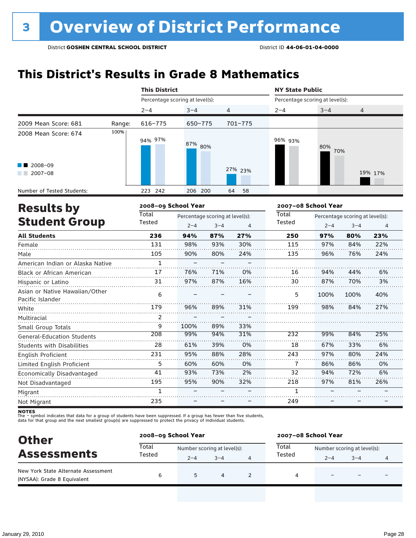## **This District's Results in Grade 8 Mathematics**

|                                                    |        | <b>This District</b>            |                                 |                |             | <b>NY State Public</b>          |                                          |      |         |  |  |
|----------------------------------------------------|--------|---------------------------------|---------------------------------|----------------|-------------|---------------------------------|------------------------------------------|------|---------|--|--|
|                                                    |        | Percentage scoring at level(s): |                                 |                |             | Percentage scoring at level(s): |                                          |      |         |  |  |
|                                                    |        | $2 - 4$                         | $3 - 4$                         | 4              |             | $2 - 4$                         | $3 - 4$                                  | 4    |         |  |  |
| 2009 Mean Score: 681                               | Range: | 616-775                         | 650-775                         |                | $701 - 775$ |                                 |                                          |      |         |  |  |
| 2008 Mean Score: 674                               | 100%   | 94% 97%                         | 87% 80%                         |                |             | 96% 93%                         | 80%                                      | 70%  |         |  |  |
| 2008-09<br>$2007 - 08$                             |        |                                 |                                 |                | 27% 23%     |                                 |                                          |      | 19% 17% |  |  |
| Number of Tested Students:                         |        | 223 242                         | 206 200                         |                | 58<br>64    |                                 |                                          |      |         |  |  |
| <b>Results by</b>                                  |        | 2008-09 School Year             |                                 |                |             | 2007-08 School Year             |                                          |      |         |  |  |
|                                                    |        | Total                           | Percentage scoring at level(s): |                |             |                                 | Total<br>Percentage scoring at level(s): |      |         |  |  |
| <b>Student Group</b>                               | Tested | $2 - 4$                         | $3 - 4$                         | $\overline{4}$ | Tested      | $2 - 4$                         | $3 - 4$                                  | 4    |         |  |  |
| <b>All Students</b>                                |        | 236                             | 94%                             | 87%            | 27%         | 250                             | 97%                                      | 80%  | 23%     |  |  |
| Female                                             |        | 131                             | 98%                             | 93%            | 30%         | 115                             | 97%                                      | 84%  | 22%     |  |  |
| Male                                               |        | 105                             | 90%                             | 80%            | 24%         | 135                             | 96%                                      | 76%  | 24%     |  |  |
| American Indian or Alaska Native                   |        | $\mathbf{1}$                    |                                 |                |             |                                 |                                          |      |         |  |  |
| Black or African American                          |        | 17                              | 76%                             | 71%            | 0%          | 16                              | 94%                                      | 44%  | 6%      |  |  |
| Hispanic or Latino                                 |        | 31                              | 97%                             | 87%            | 16%         | 30                              | 87%                                      | 70%  | 3%      |  |  |
| Asian or Native Hawaiian/Other<br>Pacific Islander |        | 6                               |                                 |                |             | 5                               | 100%                                     | 100% | 40%     |  |  |
| White                                              |        | 179                             | 96%                             | 89%            | 31%         | 199                             | 98%                                      | 84%  | 27%     |  |  |
| Multiracial                                        |        | 2                               |                                 |                |             |                                 |                                          |      |         |  |  |
| Small Group Totals                                 |        | 9                               | 100%                            | 89%            | 33%         |                                 |                                          |      |         |  |  |
| <b>General-Education Students</b>                  |        | 208                             | 99%                             | 94%            | 31%         | 232                             | 99%                                      | 84%  | 25%     |  |  |
| Students with Disabilities                         |        | 28                              | 61%                             | 39%            | 0%          | 18                              | 67%                                      | 33%  | 6%      |  |  |
| English Proficient                                 |        | 231                             | 95%                             | 88%            | 28%         | 243                             | 97%                                      | 80%  | 24%     |  |  |
| Limited English Proficient                         |        | 5                               | 60%                             | 60%            | 0%          | 7                               | 86%                                      | 86%  | 0%      |  |  |
| Economically Disadvantaged                         |        | 41                              | 93%                             | 73%            | 2%          | 32                              | 94%                                      | 72%  | 6%      |  |  |
| Not Disadvantaged                                  |        | 195                             | 95%                             | 90%            | 32%         | 218                             | 97%                                      | 81%  | 26%     |  |  |
| Migrant                                            |        | $\mathbf{1}$                    |                                 |                |             | $\mathbf{1}$                    |                                          |      |         |  |  |
| Not Migrant                                        |        | 235                             |                                 |                |             | 249                             |                                          |      |         |  |  |

**NOTES**<br>The – symbol indicates that data for a group of students have been suppressed. If a group has fewer than five students,<br>data for that group and the next smallest group(s) are suppressed to protect the privacy of in

| <b>Other</b><br><b>Assessments</b>                                 | 2008-09 School Year |                             |         | 2007-08 School Year |                             |         |  |  |
|--------------------------------------------------------------------|---------------------|-----------------------------|---------|---------------------|-----------------------------|---------|--|--|
|                                                                    | Total               | Number scoring at level(s): |         | Total               | Number scoring at level(s): |         |  |  |
|                                                                    | Tested              | $2 - 4$                     | $3 - 4$ | Tested              | $2 - 4$                     | $3 - 4$ |  |  |
| New York State Alternate Assessment<br>(NYSAA): Grade 8 Equivalent | 6                   | 5                           | 4       | 4                   |                             |         |  |  |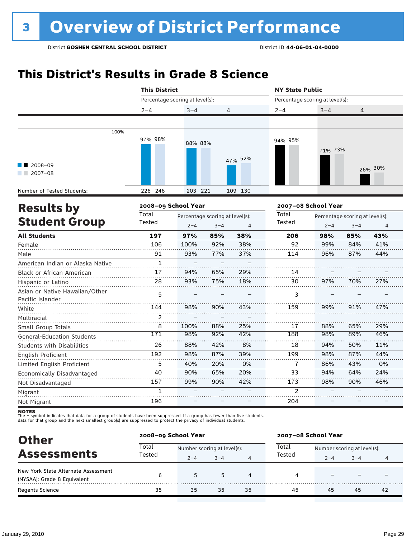## **This District's Results in Grade 8 Science**

|                                                    | <b>This District</b>            |                                                                         |          |         | <b>NY State Public</b>          |                                                                                 |     |         |  |  |
|----------------------------------------------------|---------------------------------|-------------------------------------------------------------------------|----------|---------|---------------------------------|---------------------------------------------------------------------------------|-----|---------|--|--|
|                                                    | Percentage scoring at level(s): |                                                                         |          |         | Percentage scoring at level(s): |                                                                                 |     |         |  |  |
|                                                    | $2 - 4$                         | $3 - 4$                                                                 | 4        |         | $2 - 4$                         | $3 - 4$                                                                         | 4   |         |  |  |
|                                                    |                                 |                                                                         |          |         |                                 |                                                                                 |     |         |  |  |
| 100%                                               | 97% 98%                         | 88% 88%                                                                 |          |         | 94% 95%                         | 71% 73%                                                                         |     |         |  |  |
| 2008-09<br>$2007 - 08$                             |                                 |                                                                         |          | 47% 52% |                                 |                                                                                 |     | 26% 30% |  |  |
| Number of Tested Students:                         | 226 246                         | 203 221                                                                 |          | 109 130 |                                 |                                                                                 |     |         |  |  |
| <b>Results by</b>                                  | 2008-09 School Year             |                                                                         |          |         | 2007-08 School Year             |                                                                                 |     |         |  |  |
| <b>Student Group</b>                               | Total<br>Tested                 | Percentage scoring at level(s):<br>$2 - 4$<br>$3 - 4$<br>$\overline{4}$ |          |         |                                 | <b>Total</b><br>Percentage scoring at level(s):<br>Tested<br>$2 - 4$<br>$3 - 4$ |     |         |  |  |
| <b>All Students</b>                                | 197                             | 97%                                                                     | 85%      | 38%     | 206                             | 98%                                                                             | 85% | 43%     |  |  |
| Female                                             | 106                             | 100%                                                                    | 92%      | 38%     | 92                              | 99%                                                                             | 84% | 41%     |  |  |
| Male                                               | 91                              | 93%                                                                     | 77%      | 37%     | 114                             | 96%                                                                             | 87% | 44%     |  |  |
| American Indian or Alaska Native                   | $\mathbf{1}$                    | $\equiv$                                                                | $\equiv$ |         |                                 |                                                                                 |     |         |  |  |
| Black or African American                          | 17                              | 94%                                                                     | 65%      | 29%     | 14                              |                                                                                 |     |         |  |  |
| Hispanic or Latino                                 | 28                              | 93%                                                                     | 75%      | 18%     | 30                              | 97%                                                                             | 70% | 27%     |  |  |
| Asian or Native Hawaiian/Other<br>Pacific Islander | 5                               |                                                                         |          |         | 3                               |                                                                                 |     |         |  |  |
| White                                              | 144                             | 98%                                                                     | 90%      | 43%     | 159                             | 99%                                                                             | 91% | 47%     |  |  |
| Multiracial                                        | $\mathfrak{p}$                  |                                                                         |          |         |                                 |                                                                                 |     |         |  |  |
| Small Group Totals                                 | 8                               | 100%                                                                    | 88%      | 25%     | 17                              | 88%                                                                             | 65% | 29%     |  |  |
| <b>General-Education Students</b>                  | 171                             | 98%                                                                     | 92%      | 42%     | 188                             | 98%                                                                             | 89% | 46%     |  |  |
| <b>Students with Disabilities</b>                  | 26                              | 88%                                                                     | 42%      | 8%      | 18                              | 94%                                                                             | 50% | 11%     |  |  |
| English Proficient                                 | 192                             | 98%                                                                     | 87%      | 39%     | 199                             | 98%                                                                             | 87% | 44%     |  |  |
| Limited English Proficient                         | 5                               | 40%                                                                     | 20%      | 0%      | $\overline{1}$                  | 86%                                                                             | 43% | 0%      |  |  |
| Economically Disadvantaged                         | 40                              | 90%                                                                     | 65%      | 20%     | 33                              | 94%                                                                             | 64% | 24%     |  |  |
| Not Disadvantaged                                  | 157                             | 99%                                                                     | 90%      | 42%     | 173                             | 98%                                                                             | 90% | 46%     |  |  |
| Migrant                                            | $\mathbf{1}$                    |                                                                         |          |         | 2                               |                                                                                 |     |         |  |  |
| Not Migrant                                        | 196                             |                                                                         |          |         | 204                             |                                                                                 |     |         |  |  |

**NOTES**<br>The – symbol indicates that data for a group of students have been suppressed. If a group has fewer than five students,<br>data for that group and the next smallest group(s) are suppressed to protect the privacy of in

| <b>Other</b>                                                       |        | 2008-09 School Year         |         |    | 2007-08 School Year |                             |         |    |  |
|--------------------------------------------------------------------|--------|-----------------------------|---------|----|---------------------|-----------------------------|---------|----|--|
| <b>Assessments</b>                                                 | Total  | Number scoring at level(s): |         |    | Total               | Number scoring at level(s): |         |    |  |
|                                                                    | Tested | $2 - 4$                     | $3 - 4$ | 4  | Tested              | $2 - 4$                     | $3 - 4$ | 4  |  |
| New York State Alternate Assessment<br>(NYSAA): Grade 8 Equivalent | 6      | 5                           | 5       | 4  | 4                   |                             |         |    |  |
| <b>Regents Science</b>                                             | 35     | 35                          | 35      | 35 | 45                  | 45                          | 45      | 42 |  |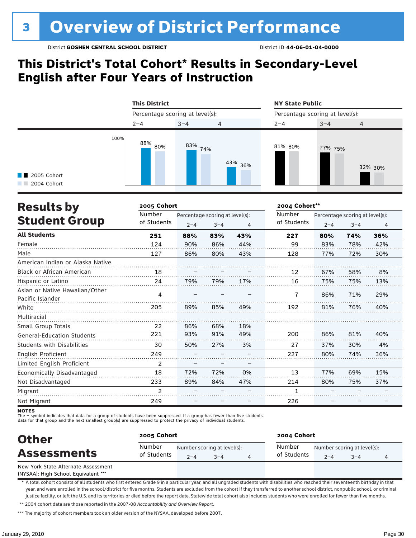### **This District's Total Cohort\* Results in Secondary-Level English after Four Years of Instruction**



| <b>Results by</b>                                  | 2005 Cohort    |         |                                 |     | 2004 Cohort** |         |                                 |     |  |
|----------------------------------------------------|----------------|---------|---------------------------------|-----|---------------|---------|---------------------------------|-----|--|
|                                                    | Number         |         | Percentage scoring at level(s): |     | Number        |         | Percentage scoring at level(s): |     |  |
| <b>Student Group</b>                               | of Students    | $2 - 4$ | $3 - 4$                         | 4   | of Students   | $2 - 4$ | $3 - 4$                         | 4   |  |
| <b>All Students</b>                                | 251            | 88%     | 83%                             | 43% | 227           | 80%     | 74%                             | 36% |  |
| Female                                             | 124            | 90%     | 86%                             | 44% | 99            | 83%     | 78%                             | 42% |  |
| Male                                               | 127            | 86%     | 80%                             | 43% | 128           | 77%     | 72%                             | 30% |  |
| American Indian or Alaska Native                   |                |         |                                 |     |               |         |                                 |     |  |
| <b>Black or African American</b>                   | 18             |         |                                 |     | 12            | 67%     | 58%                             | 8%  |  |
| Hispanic or Latino                                 | 24             | 79%     | 79%                             | 17% | 16            | 75%     | 75%                             | 13% |  |
| Asian or Native Hawaiian/Other<br>Pacific Islander | 4              |         |                                 |     | 7             | 86%     | 71%                             | 29% |  |
| White                                              | 205            | 89%     | 85%                             | 49% | 192           | 81%     | 76%                             | 40% |  |
| Multiracial                                        |                |         |                                 |     |               |         |                                 |     |  |
| Small Group Totals                                 | 22             | 86%     | 68%                             | 18% |               |         |                                 |     |  |
| <b>General-Education Students</b>                  | 221            | 93%     | 91%                             | 49% | 200           | 86%     | 81%                             | 40% |  |
| <b>Students with Disabilities</b>                  | 30             | 50%     | 27%                             | 3%  | 27            | 37%     | 30%                             | 4%  |  |
| English Proficient                                 | 249            |         |                                 |     | 227           | 80%     | 74%                             | 36% |  |
| Limited English Proficient                         | $\overline{2}$ | -       |                                 | -   |               |         |                                 |     |  |
| Economically Disadvantaged                         | 18             | 72%     | 72%                             | 0%  | 13            | 77%     | 69%                             | 15% |  |
| Not Disadvantaged                                  | 233            | 89%     | 84%                             | 47% | 214           | 80%     | 75%                             | 37% |  |
| Migrant                                            | $\mathfrak{p}$ |         |                                 |     | 1             |         |                                 |     |  |
| Not Migrant                                        | 249            |         |                                 |     | 226           |         |                                 |     |  |

**NOTES** 

- symbol indicates that data for a group of students have been suppressed. If a group has fewer than five students,

data for that group and the next smallest group(s) are suppressed to protect the privacy of individual students.

| <b>Other</b><br><b>Assessments</b>  | 2005 Cohort           |         |                                     | 2004 Cohort           |         |                                        |  |  |  |
|-------------------------------------|-----------------------|---------|-------------------------------------|-----------------------|---------|----------------------------------------|--|--|--|
|                                     | Number<br>of Students | $2 - 4$ | Number scoring at level(s):<br>$-4$ | Number<br>of Students | $2 - 4$ | Number scoring at level(s):<br>$3 - 4$ |  |  |  |
| New York State Alternate Assessment |                       |         |                                     |                       |         |                                        |  |  |  |

(NYSAA): High School Equivalent \*\*\*

\* A total cohort consists of all students who first entered Grade 9 in a particular year, and all ungraded students with disabilities who reached their seventeenth birthday in that year, and were enrolled in the school/district for five months. Students are excluded from the cohort if they transferred to another school district, nonpublic school, or criminal justice facility, or left the U.S. and its territories or died before the report date. Statewide total cohort also includes students who were enrolled for fewer than five months.

\*\* 2004 cohort data are those reported in the 2007-08 *Accountability and Overview Report*.

\*\*\* The majority of cohort members took an older version of the NYSAA, developed before 2007.